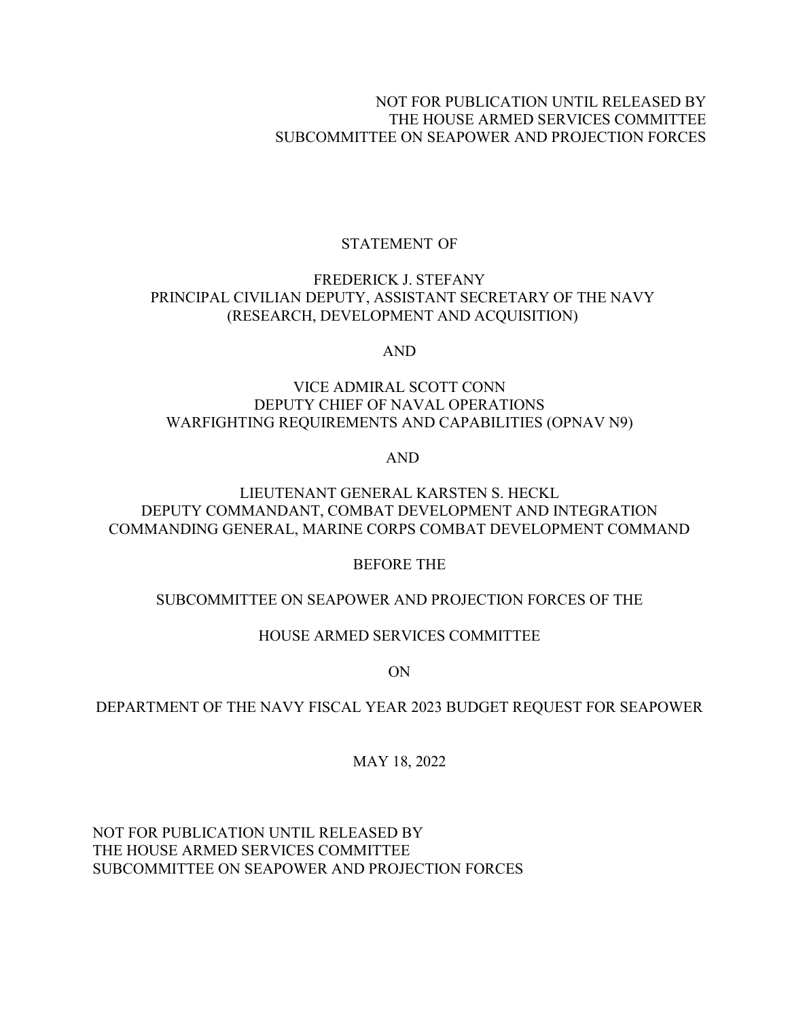# NOT FOR PUBLICATION UNTIL RELEASED BY THE HOUSE ARMED SERVICES COMMITTEE SUBCOMMITTEE ON SEAPOWER AND PROJECTION FORCES

# STATEMENT OF

# FREDERICK J. STEFANY PRINCIPAL CIVILIAN DEPUTY, ASSISTANT SECRETARY OF THE NAVY (RESEARCH, DEVELOPMENT AND ACQUISITION)

## AND

# VICE ADMIRAL SCOTT CONN DEPUTY CHIEF OF NAVAL OPERATIONS WARFIGHTING REQUIREMENTS AND CAPABILITIES (OPNAV N9)

## AND

# LIEUTENANT GENERAL KARSTEN S. HECKL DEPUTY COMMANDANT, COMBAT DEVELOPMENT AND INTEGRATION COMMANDING GENERAL, MARINE CORPS COMBAT DEVELOPMENT COMMAND

# BEFORE THE

# SUBCOMMITTEE ON SEAPOWER AND PROJECTION FORCES OF THE

# HOUSE ARMED SERVICES COMMITTEE

ON

# DEPARTMENT OF THE NAVY FISCAL YEAR 2023 BUDGET REQUEST FOR SEAPOWER

MAY 18, 2022

NOT FOR PUBLICATION UNTIL RELEASED BY THE HOUSE ARMED SERVICES COMMITTEE SUBCOMMITTEE ON SEAPOWER AND PROJECTION FORCES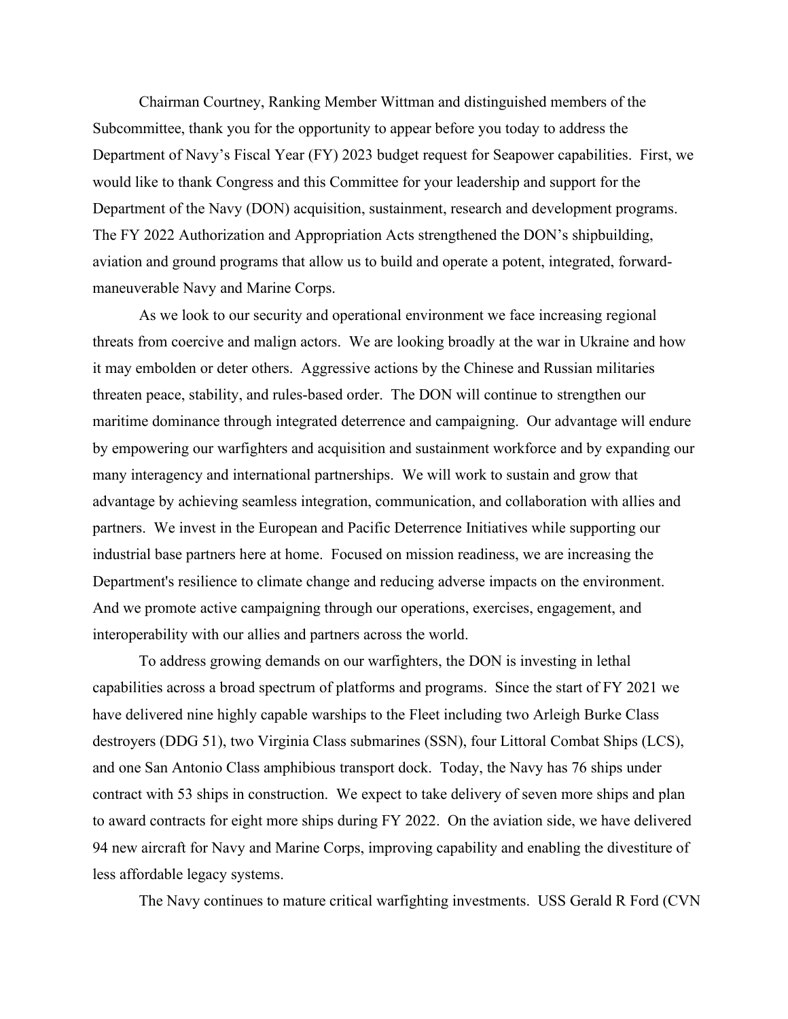Chairman Courtney, Ranking Member Wittman and distinguished members of the Subcommittee, thank you for the opportunity to appear before you today to address the Department of Navy's Fiscal Year (FY) 2023 budget request for Seapower capabilities. First, we would like to thank Congress and this Committee for your leadership and support for the Department of the Navy (DON) acquisition, sustainment, research and development programs. The FY 2022 Authorization and Appropriation Acts strengthened the DON's shipbuilding, aviation and ground programs that allow us to build and operate a potent, integrated, forwardmaneuverable Navy and Marine Corps.

As we look to our security and operational environment we face increasing regional threats from coercive and malign actors. We are looking broadly at the war in Ukraine and how it may embolden or deter others. Aggressive actions by the Chinese and Russian militaries threaten peace, stability, and rules-based order. The DON will continue to strengthen our maritime dominance through integrated deterrence and campaigning. Our advantage will endure by empowering our warfighters and acquisition and sustainment workforce and by expanding our many interagency and international partnerships. We will work to sustain and grow that advantage by achieving seamless integration, communication, and collaboration with allies and partners. We invest in the European and Pacific Deterrence Initiatives while supporting our industrial base partners here at home. Focused on mission readiness, we are increasing the Department's resilience to climate change and reducing adverse impacts on the environment. And we promote active campaigning through our operations, exercises, engagement, and interoperability with our allies and partners across the world.

To address growing demands on our warfighters, the DON is investing in lethal capabilities across a broad spectrum of platforms and programs. Since the start of FY 2021 we have delivered nine highly capable warships to the Fleet including two Arleigh Burke Class destroyers (DDG 51), two Virginia Class submarines (SSN), four Littoral Combat Ships (LCS), and one San Antonio Class amphibious transport dock. Today, the Navy has 76 ships under contract with 53 ships in construction. We expect to take delivery of seven more ships and plan to award contracts for eight more ships during FY 2022. On the aviation side, we have delivered 94 new aircraft for Navy and Marine Corps, improving capability and enabling the divestiture of less affordable legacy systems.

The Navy continues to mature critical warfighting investments. USS Gerald R Ford (CVN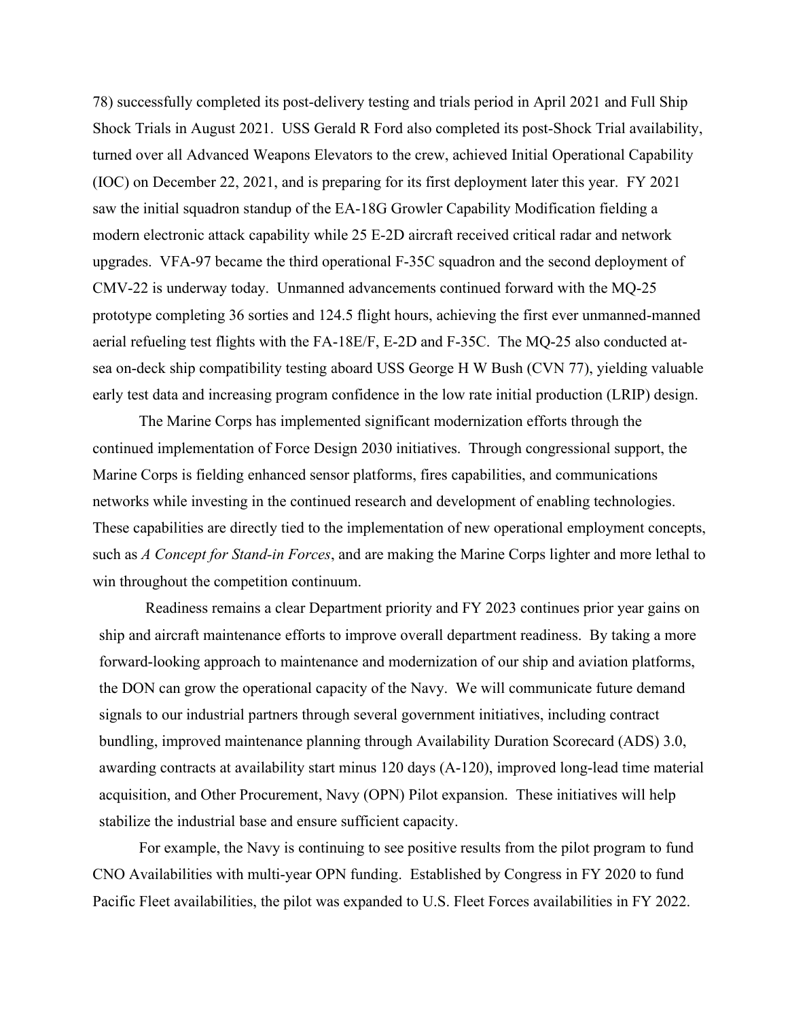78) successfully completed its post-delivery testing and trials period in April 2021 and Full Ship Shock Trials in August 2021. USS Gerald R Ford also completed its post-Shock Trial availability, turned over all Advanced Weapons Elevators to the crew, achieved Initial Operational Capability (IOC) on December 22, 2021, and is preparing for its first deployment later this year. FY 2021 saw the initial squadron standup of the EA-18G Growler Capability Modification fielding a modern electronic attack capability while 25 E-2D aircraft received critical radar and network upgrades. VFA-97 became the third operational F-35C squadron and the second deployment of CMV-22 is underway today. Unmanned advancements continued forward with the MQ-25 prototype completing 36 sorties and 124.5 flight hours, achieving the first ever unmanned-manned aerial refueling test flights with the FA-18E/F, E-2D and F-35C. The MQ-25 also conducted atsea on-deck ship compatibility testing aboard USS George H W Bush (CVN 77), yielding valuable early test data and increasing program confidence in the low rate initial production (LRIP) design.

The Marine Corps has implemented significant modernization efforts through the continued implementation of Force Design 2030 initiatives. Through congressional support, the Marine Corps is fielding enhanced sensor platforms, fires capabilities, and communications networks while investing in the continued research and development of enabling technologies. These capabilities are directly tied to the implementation of new operational employment concepts, such as *A Concept for Stand-in Forces*, and are making the Marine Corps lighter and more lethal to win throughout the competition continuum.

Readiness remains a clear Department priority and FY 2023 continues prior year gains on ship and aircraft maintenance efforts to improve overall department readiness. By taking a more forward-looking approach to maintenance and modernization of our ship and aviation platforms, the DON can grow the operational capacity of the Navy. We will communicate future demand signals to our industrial partners through several government initiatives, including contract bundling, improved maintenance planning through Availability Duration Scorecard (ADS) 3.0, awarding contracts at availability start minus 120 days (A-120), improved long-lead time material acquisition, and Other Procurement, Navy (OPN) Pilot expansion. These initiatives will help stabilize the industrial base and ensure sufficient capacity.

For example, the Navy is continuing to see positive results from the pilot program to fund CNO Availabilities with multi-year OPN funding. Established by Congress in FY 2020 to fund Pacific Fleet availabilities, the pilot was expanded to U.S. Fleet Forces availabilities in FY 2022.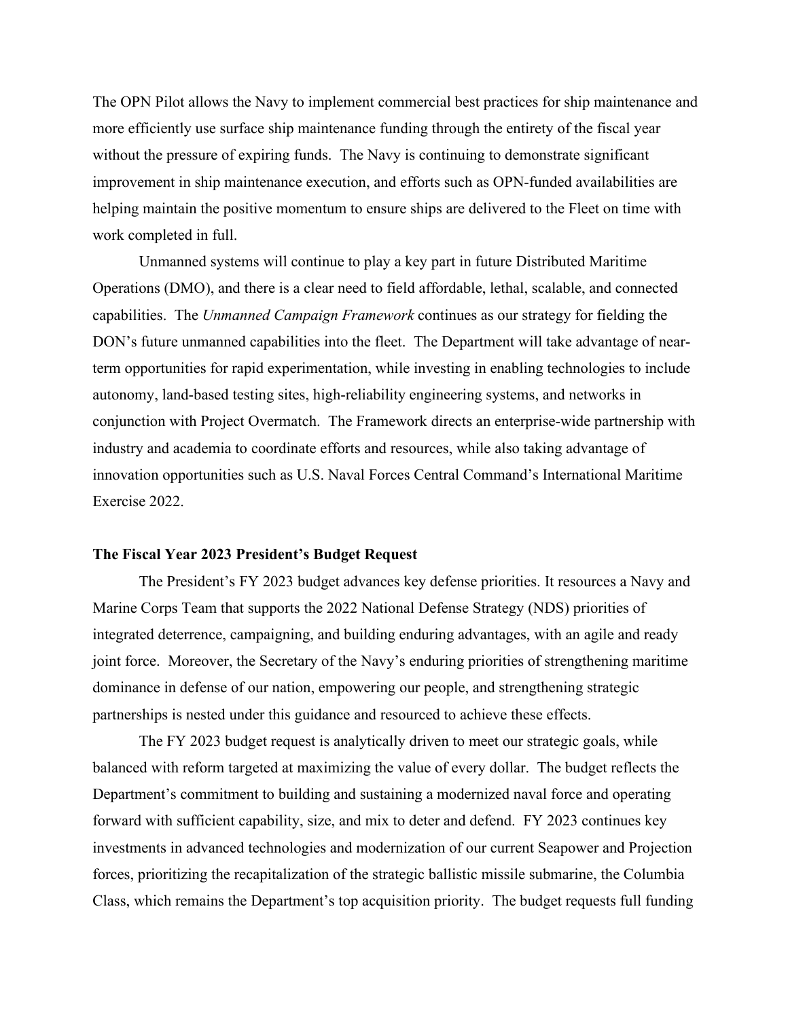The OPN Pilot allows the Navy to implement commercial best practices for ship maintenance and more efficiently use surface ship maintenance funding through the entirety of the fiscal year without the pressure of expiring funds. The Navy is continuing to demonstrate significant improvement in ship maintenance execution, and efforts such as OPN-funded availabilities are helping maintain the positive momentum to ensure ships are delivered to the Fleet on time with work completed in full.

Unmanned systems will continue to play a key part in future Distributed Maritime Operations (DMO), and there is a clear need to field affordable, lethal, scalable, and connected capabilities. The *Unmanned Campaign Framework* continues as our strategy for fielding the DON's future unmanned capabilities into the fleet. The Department will take advantage of nearterm opportunities for rapid experimentation, while investing in enabling technologies to include autonomy, land-based testing sites, high-reliability engineering systems, and networks in conjunction with Project Overmatch. The Framework directs an enterprise-wide partnership with industry and academia to coordinate efforts and resources, while also taking advantage of innovation opportunities such as U.S. Naval Forces Central Command's International Maritime Exercise 2022.

#### **The Fiscal Year 2023 President's Budget Request**

The President's FY 2023 budget advances key defense priorities. It resources a Navy and Marine Corps Team that supports the 2022 National Defense Strategy (NDS) priorities of integrated deterrence, campaigning, and building enduring advantages, with an agile and ready joint force. Moreover, the Secretary of the Navy's enduring priorities of strengthening maritime dominance in defense of our nation, empowering our people, and strengthening strategic partnerships is nested under this guidance and resourced to achieve these effects.

The FY 2023 budget request is analytically driven to meet our strategic goals, while balanced with reform targeted at maximizing the value of every dollar. The budget reflects the Department's commitment to building and sustaining a modernized naval force and operating forward with sufficient capability, size, and mix to deter and defend. FY 2023 continues key investments in advanced technologies and modernization of our current Seapower and Projection forces, prioritizing the recapitalization of the strategic ballistic missile submarine, the Columbia Class, which remains the Department's top acquisition priority. The budget requests full funding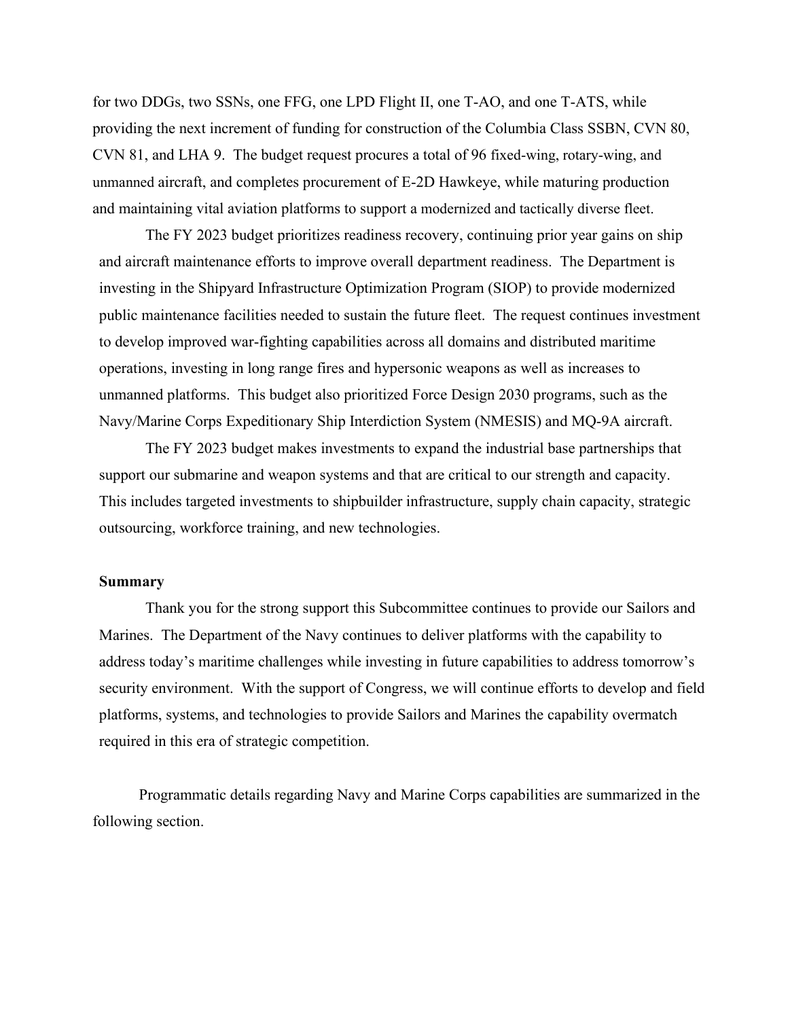for two DDGs, two SSNs, one FFG, one LPD Flight II, one T-AO, and one T-ATS, while providing the next increment of funding for construction of the Columbia Class SSBN, CVN 80, CVN 81, and LHA 9. The budget request procures a total of 96 fixed-wing, rotary-wing, and unmanned aircraft, and completes procurement of E-2D Hawkeye, while maturing production and maintaining vital aviation platforms to support a modernized and tactically diverse fleet.

The FY 2023 budget prioritizes readiness recovery, continuing prior year gains on ship and aircraft maintenance efforts to improve overall department readiness. The Department is investing in the Shipyard Infrastructure Optimization Program (SIOP) to provide modernized public maintenance facilities needed to sustain the future fleet. The request continues investment to develop improved war-fighting capabilities across all domains and distributed maritime operations, investing in long range fires and hypersonic weapons as well as increases to unmanned platforms. This budget also prioritized Force Design 2030 programs, such as the Navy/Marine Corps Expeditionary Ship Interdiction System (NMESIS) and MQ-9A aircraft.

The FY 2023 budget makes investments to expand the industrial base partnerships that support our submarine and weapon systems and that are critical to our strength and capacity. This includes targeted investments to shipbuilder infrastructure, supply chain capacity, strategic outsourcing, workforce training, and new technologies.

## **Summary**

Thank you for the strong support this Subcommittee continues to provide our Sailors and Marines. The Department of the Navy continues to deliver platforms with the capability to address today's maritime challenges while investing in future capabilities to address tomorrow's security environment. With the support of Congress, we will continue efforts to develop and field platforms, systems, and technologies to provide Sailors and Marines the capability overmatch required in this era of strategic competition.

Programmatic details regarding Navy and Marine Corps capabilities are summarized in the following section.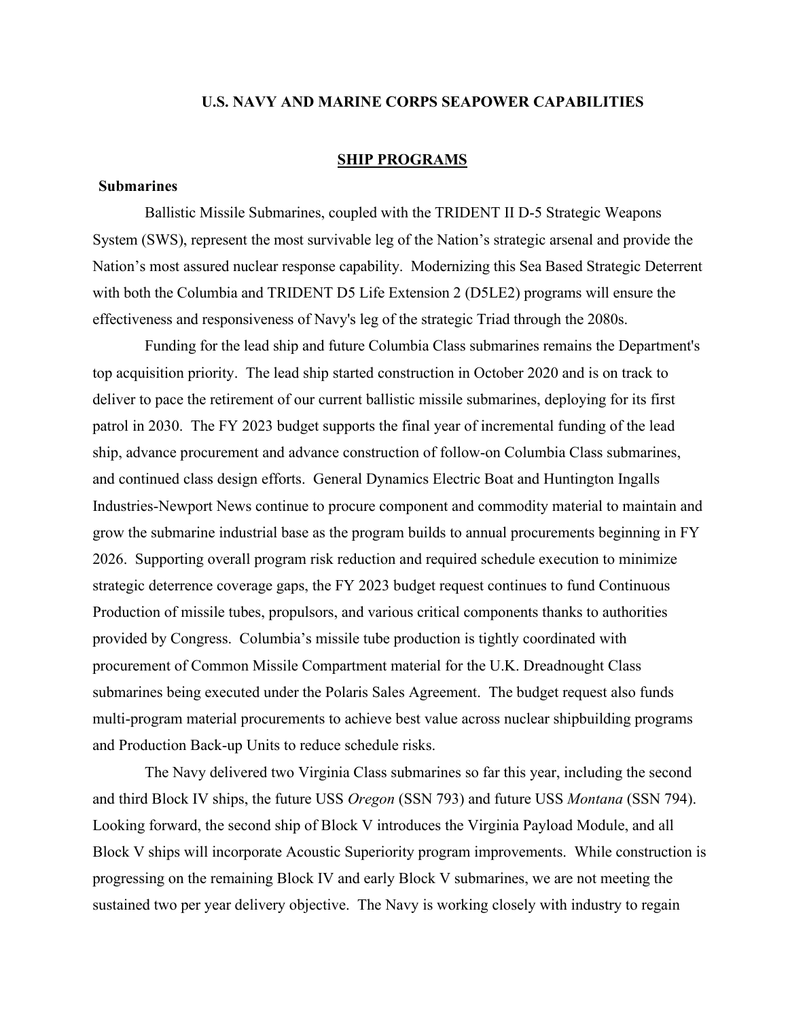### **U.S. NAVY AND MARINE CORPS SEAPOWER CAPABILITIES**

#### **SHIP PROGRAMS**

#### **Submarines**

Ballistic Missile Submarines, coupled with the TRIDENT II D-5 Strategic Weapons System (SWS), represent the most survivable leg of the Nation's strategic arsenal and provide the Nation's most assured nuclear response capability. Modernizing this Sea Based Strategic Deterrent with both the Columbia and TRIDENT D5 Life Extension 2 (D5LE2) programs will ensure the effectiveness and responsiveness of Navy's leg of the strategic Triad through the 2080s.

Funding for the lead ship and future Columbia Class submarines remains the Department's top acquisition priority. The lead ship started construction in October 2020 and is on track to deliver to pace the retirement of our current ballistic missile submarines, deploying for its first patrol in 2030. The FY 2023 budget supports the final year of incremental funding of the lead ship, advance procurement and advance construction of follow-on Columbia Class submarines, and continued class design efforts. General Dynamics Electric Boat and Huntington Ingalls Industries-Newport News continue to procure component and commodity material to maintain and grow the submarine industrial base as the program builds to annual procurements beginning in FY 2026. Supporting overall program risk reduction and required schedule execution to minimize strategic deterrence coverage gaps, the FY 2023 budget request continues to fund Continuous Production of missile tubes, propulsors, and various critical components thanks to authorities provided by Congress. Columbia's missile tube production is tightly coordinated with procurement of Common Missile Compartment material for the U.K. Dreadnought Class submarines being executed under the Polaris Sales Agreement. The budget request also funds multi-program material procurements to achieve best value across nuclear shipbuilding programs and Production Back-up Units to reduce schedule risks.

The Navy delivered two Virginia Class submarines so far this year, including the second and third Block IV ships, the future USS *Oregon* (SSN 793) and future USS *Montana* (SSN 794). Looking forward, the second ship of Block V introduces the Virginia Payload Module, and all Block V ships will incorporate Acoustic Superiority program improvements. While construction is progressing on the remaining Block IV and early Block V submarines, we are not meeting the sustained two per year delivery objective. The Navy is working closely with industry to regain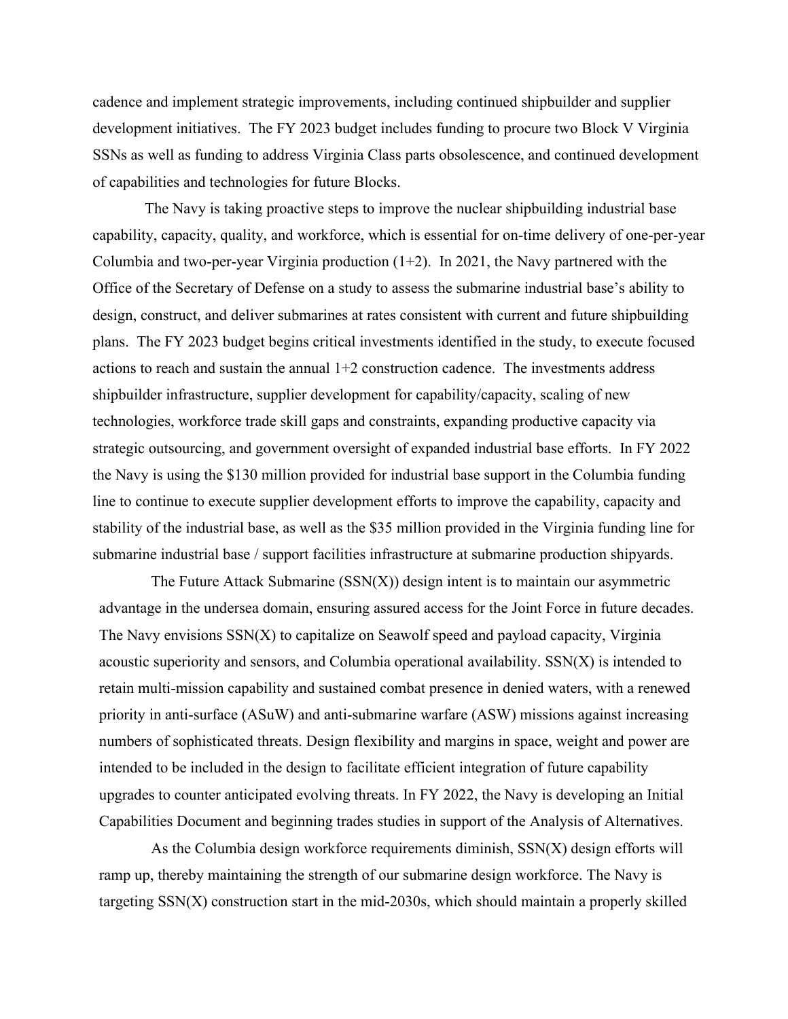cadence and implement strategic improvements, including continued shipbuilder and supplier development initiatives. The FY 2023 budget includes funding to procure two Block V Virginia SSNs as well as funding to address Virginia Class parts obsolescence, and continued development of capabilities and technologies for future Blocks.

The Navy is taking proactive steps to improve the nuclear shipbuilding industrial base capability, capacity, quality, and workforce, which is essential for on-time delivery of one-per-year Columbia and two-per-year Virginia production  $(1+2)$ . In 2021, the Navy partnered with the Office of the Secretary of Defense on a study to assess the submarine industrial base's ability to design, construct, and deliver submarines at rates consistent with current and future shipbuilding plans. The FY 2023 budget begins critical investments identified in the study, to execute focused actions to reach and sustain the annual 1+2 construction cadence. The investments address shipbuilder infrastructure, supplier development for capability/capacity, scaling of new technologies, workforce trade skill gaps and constraints, expanding productive capacity via strategic outsourcing, and government oversight of expanded industrial base efforts. In FY 2022 the Navy is using the \$130 million provided for industrial base support in the Columbia funding line to continue to execute supplier development efforts to improve the capability, capacity and stability of the industrial base, as well as the \$35 million provided in the Virginia funding line for submarine industrial base / support facilities infrastructure at submarine production shipyards.

The Future Attack Submarine  $(SSN(X))$  design intent is to maintain our asymmetric advantage in the undersea domain, ensuring assured access for the Joint Force in future decades. The Navy envisions SSN(X) to capitalize on Seawolf speed and payload capacity, Virginia acoustic superiority and sensors, and Columbia operational availability.  $SSN(X)$  is intended to retain multi-mission capability and sustained combat presence in denied waters, with a renewed priority in anti-surface (ASuW) and anti-submarine warfare (ASW) missions against increasing numbers of sophisticated threats. Design flexibility and margins in space, weight and power are intended to be included in the design to facilitate efficient integration of future capability upgrades to counter anticipated evolving threats. In FY 2022, the Navy is developing an Initial Capabilities Document and beginning trades studies in support of the Analysis of Alternatives.

As the Columbia design workforce requirements diminish, SSN(X) design efforts will ramp up, thereby maintaining the strength of our submarine design workforce. The Navy is targeting SSN(X) construction start in the mid-2030s, which should maintain a properly skilled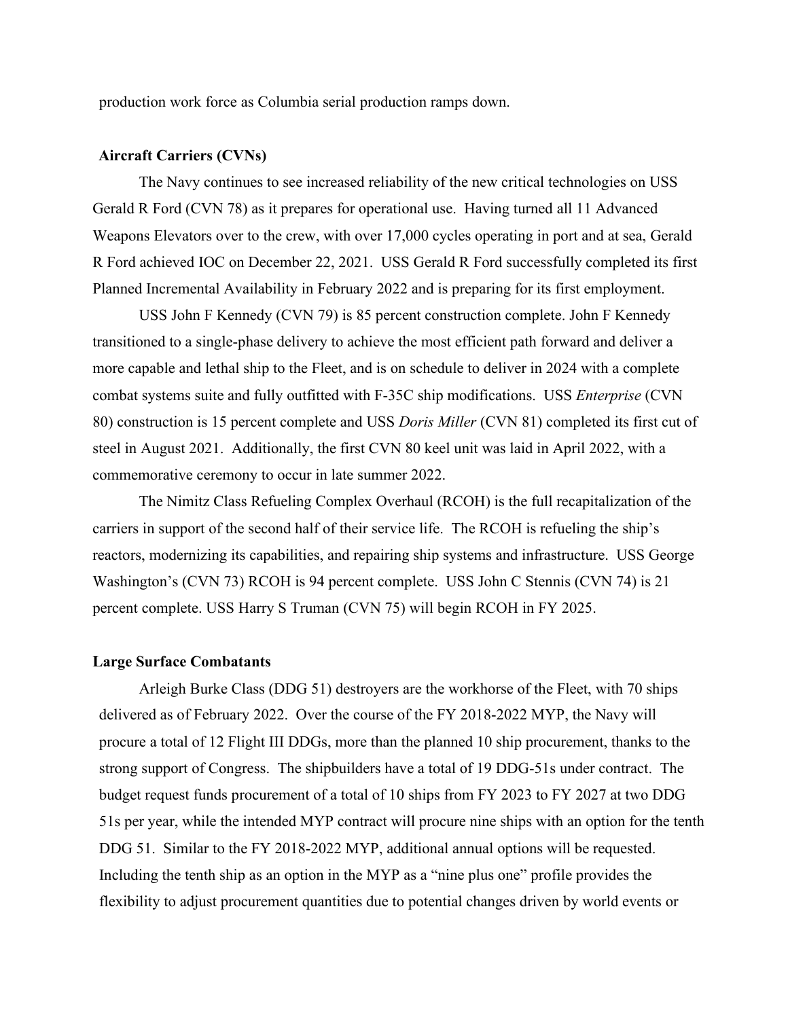production work force as Columbia serial production ramps down.

## **Aircraft Carriers (CVNs)**

The Navy continues to see increased reliability of the new critical technologies on USS Gerald R Ford (CVN 78) as it prepares for operational use. Having turned all 11 Advanced Weapons Elevators over to the crew, with over 17,000 cycles operating in port and at sea, Gerald R Ford achieved IOC on December 22, 2021. USS Gerald R Ford successfully completed its first Planned Incremental Availability in February 2022 and is preparing for its first employment.

USS John F Kennedy (CVN 79) is 85 percent construction complete. John F Kennedy transitioned to a single-phase delivery to achieve the most efficient path forward and deliver a more capable and lethal ship to the Fleet, and is on schedule to deliver in 2024 with a complete combat systems suite and fully outfitted with F-35C ship modifications. USS *Enterprise* (CVN 80) construction is 15 percent complete and USS *Doris Miller* (CVN 81) completed its first cut of steel in August 2021. Additionally, the first CVN 80 keel unit was laid in April 2022, with a commemorative ceremony to occur in late summer 2022.

The Nimitz Class Refueling Complex Overhaul (RCOH) is the full recapitalization of the carriers in support of the second half of their service life. The RCOH is refueling the ship's reactors, modernizing its capabilities, and repairing ship systems and infrastructure. USS George Washington's (CVN 73) RCOH is 94 percent complete. USS John C Stennis (CVN 74) is 21 percent complete. USS Harry S Truman (CVN 75) will begin RCOH in FY 2025.

#### **Large Surface Combatants**

Arleigh Burke Class (DDG 51) destroyers are the workhorse of the Fleet, with 70 ships delivered as of February 2022. Over the course of the FY 2018-2022 MYP, the Navy will procure a total of 12 Flight III DDGs, more than the planned 10 ship procurement, thanks to the strong support of Congress. The shipbuilders have a total of 19 DDG-51s under contract. The budget request funds procurement of a total of 10 ships from FY 2023 to FY 2027 at two DDG 51s per year, while the intended MYP contract will procure nine ships with an option for the tenth DDG 51. Similar to the FY 2018-2022 MYP, additional annual options will be requested. Including the tenth ship as an option in the MYP as a "nine plus one" profile provides the flexibility to adjust procurement quantities due to potential changes driven by world events or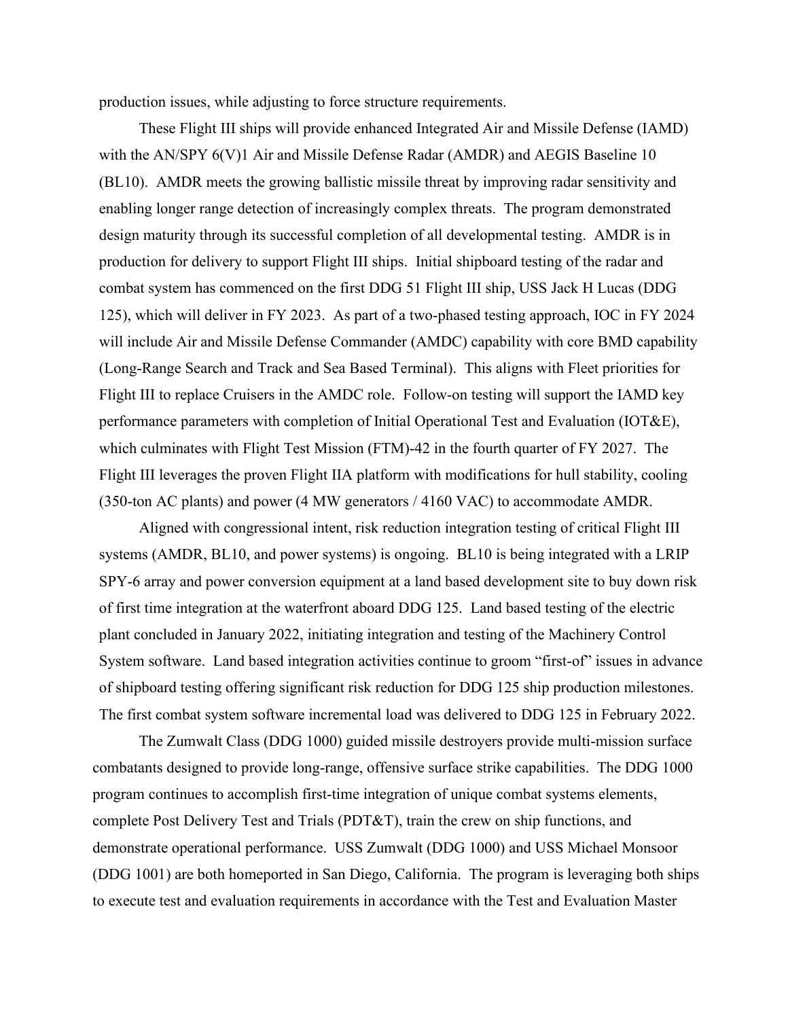production issues, while adjusting to force structure requirements.

These Flight III ships will provide enhanced Integrated Air and Missile Defense (IAMD) with the AN/SPY 6(V)1 Air and Missile Defense Radar (AMDR) and AEGIS Baseline 10 (BL10). AMDR meets the growing ballistic missile threat by improving radar sensitivity and enabling longer range detection of increasingly complex threats. The program demonstrated design maturity through its successful completion of all developmental testing. AMDR is in production for delivery to support Flight III ships. Initial shipboard testing of the radar and combat system has commenced on the first DDG 51 Flight III ship, USS Jack H Lucas (DDG 125), which will deliver in FY 2023. As part of a two-phased testing approach, IOC in FY 2024 will include Air and Missile Defense Commander (AMDC) capability with core BMD capability (Long-Range Search and Track and Sea Based Terminal). This aligns with Fleet priorities for Flight III to replace Cruisers in the AMDC role. Follow-on testing will support the IAMD key performance parameters with completion of Initial Operational Test and Evaluation (IOT&E), which culminates with Flight Test Mission (FTM)-42 in the fourth quarter of FY 2027. The Flight III leverages the proven Flight IIA platform with modifications for hull stability, cooling (350-ton AC plants) and power (4 MW generators / 4160 VAC) to accommodate AMDR.

Aligned with congressional intent, risk reduction integration testing of critical Flight III systems (AMDR, BL10, and power systems) is ongoing. BL10 is being integrated with a LRIP SPY-6 array and power conversion equipment at a land based development site to buy down risk of first time integration at the waterfront aboard DDG 125. Land based testing of the electric plant concluded in January 2022, initiating integration and testing of the Machinery Control System software. Land based integration activities continue to groom "first-of" issues in advance of shipboard testing offering significant risk reduction for DDG 125 ship production milestones. The first combat system software incremental load was delivered to DDG 125 in February 2022.

The Zumwalt Class (DDG 1000) guided missile destroyers provide multi-mission surface combatants designed to provide long-range, offensive surface strike capabilities. The DDG 1000 program continues to accomplish first-time integration of unique combat systems elements, complete Post Delivery Test and Trials (PDT&T), train the crew on ship functions, and demonstrate operational performance. USS Zumwalt (DDG 1000) and USS Michael Monsoor (DDG 1001) are both homeported in San Diego, California. The program is leveraging both ships to execute test and evaluation requirements in accordance with the Test and Evaluation Master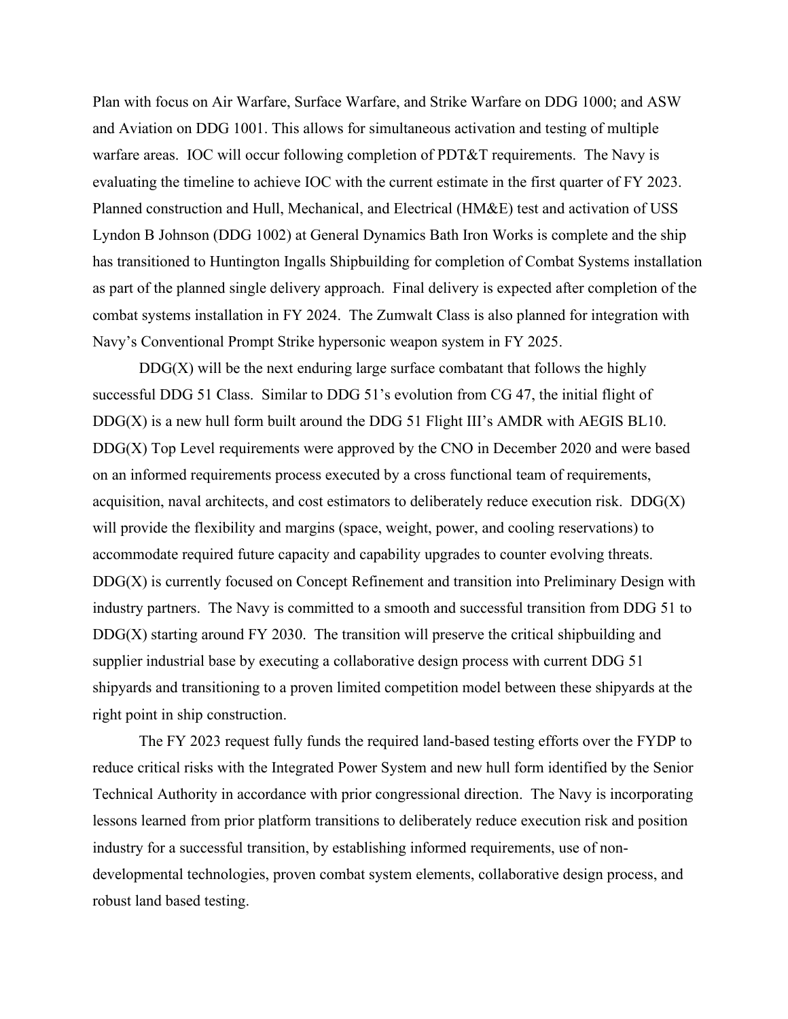Plan with focus on Air Warfare, Surface Warfare, and Strike Warfare on DDG 1000; and ASW and Aviation on DDG 1001. This allows for simultaneous activation and testing of multiple warfare areas. IOC will occur following completion of PDT&T requirements. The Navy is evaluating the timeline to achieve IOC with the current estimate in the first quarter of FY 2023. Planned construction and Hull, Mechanical, and Electrical (HM&E) test and activation of USS Lyndon B Johnson (DDG 1002) at General Dynamics Bath Iron Works is complete and the ship has transitioned to Huntington Ingalls Shipbuilding for completion of Combat Systems installation as part of the planned single delivery approach. Final delivery is expected after completion of the combat systems installation in FY 2024. The Zumwalt Class is also planned for integration with Navy's Conventional Prompt Strike hypersonic weapon system in FY 2025.

 $DDG(X)$  will be the next enduring large surface combatant that follows the highly successful DDG 51 Class. Similar to DDG 51's evolution from CG 47, the initial flight of  $DDG(X)$  is a new hull form built around the DDG 51 Flight III's AMDR with AEGIS BL10. DDG(X) Top Level requirements were approved by the CNO in December 2020 and were based on an informed requirements process executed by a cross functional team of requirements, acquisition, naval architects, and cost estimators to deliberately reduce execution risk.  $DDG(X)$ will provide the flexibility and margins (space, weight, power, and cooling reservations) to accommodate required future capacity and capability upgrades to counter evolving threats. DDG(X) is currently focused on Concept Refinement and transition into Preliminary Design with industry partners. The Navy is committed to a smooth and successful transition from DDG 51 to DDG(X) starting around FY 2030. The transition will preserve the critical shipbuilding and supplier industrial base by executing a collaborative design process with current DDG 51 shipyards and transitioning to a proven limited competition model between these shipyards at the right point in ship construction.

The FY 2023 request fully funds the required land-based testing efforts over the FYDP to reduce critical risks with the Integrated Power System and new hull form identified by the Senior Technical Authority in accordance with prior congressional direction. The Navy is incorporating lessons learned from prior platform transitions to deliberately reduce execution risk and position industry for a successful transition, by establishing informed requirements, use of nondevelopmental technologies, proven combat system elements, collaborative design process, and robust land based testing.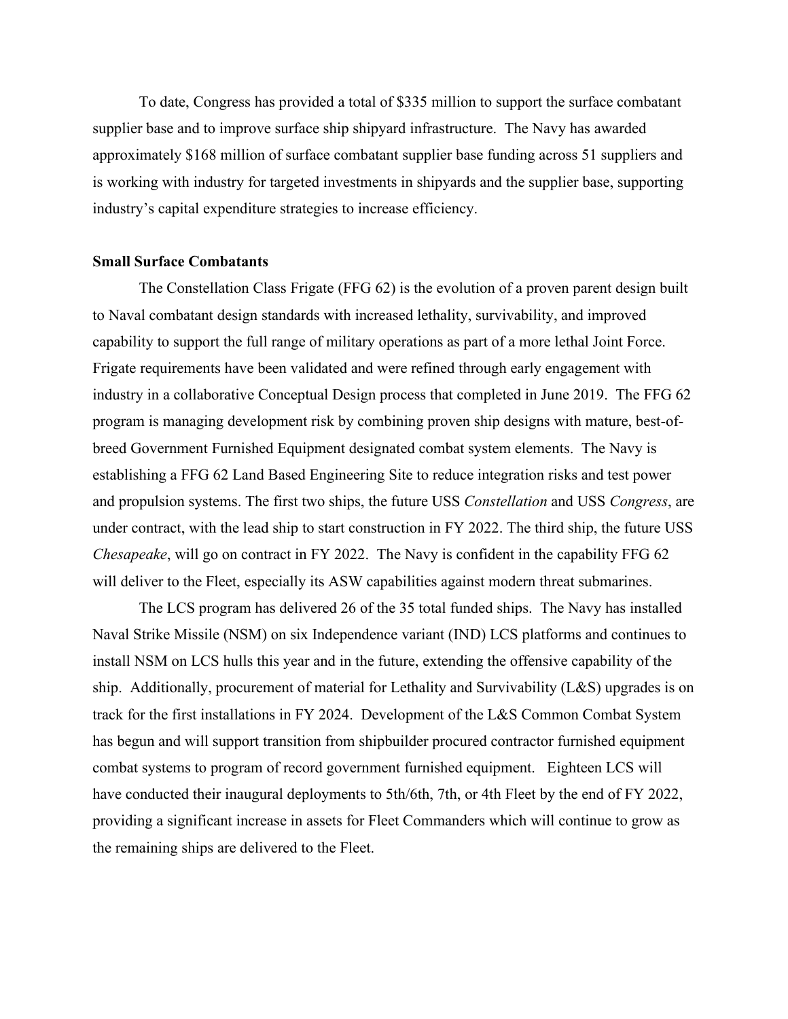To date, Congress has provided a total of \$335 million to support the surface combatant supplier base and to improve surface ship shipyard infrastructure. The Navy has awarded approximately \$168 million of surface combatant supplier base funding across 51 suppliers and is working with industry for targeted investments in shipyards and the supplier base, supporting industry's capital expenditure strategies to increase efficiency.

### **Small Surface Combatants**

The Constellation Class Frigate (FFG 62) is the evolution of a proven parent design built to Naval combatant design standards with increased lethality, survivability, and improved capability to support the full range of military operations as part of a more lethal Joint Force. Frigate requirements have been validated and were refined through early engagement with industry in a collaborative Conceptual Design process that completed in June 2019. The FFG 62 program is managing development risk by combining proven ship designs with mature, best-ofbreed Government Furnished Equipment designated combat system elements. The Navy is establishing a FFG 62 Land Based Engineering Site to reduce integration risks and test power and propulsion systems. The first two ships, the future USS *Constellation* and USS *Congress*, are under contract, with the lead ship to start construction in FY 2022. The third ship, the future USS *Chesapeake*, will go on contract in FY 2022. The Navy is confident in the capability FFG 62 will deliver to the Fleet, especially its ASW capabilities against modern threat submarines.

The LCS program has delivered 26 of the 35 total funded ships. The Navy has installed Naval Strike Missile (NSM) on six Independence variant (IND) LCS platforms and continues to install NSM on LCS hulls this year and in the future, extending the offensive capability of the ship. Additionally, procurement of material for Lethality and Survivability (L&S) upgrades is on track for the first installations in FY 2024. Development of the L&S Common Combat System has begun and will support transition from shipbuilder procured contractor furnished equipment combat systems to program of record government furnished equipment. Eighteen LCS will have conducted their inaugural deployments to 5th/6th, 7th, or 4th Fleet by the end of FY 2022, providing a significant increase in assets for Fleet Commanders which will continue to grow as the remaining ships are delivered to the Fleet.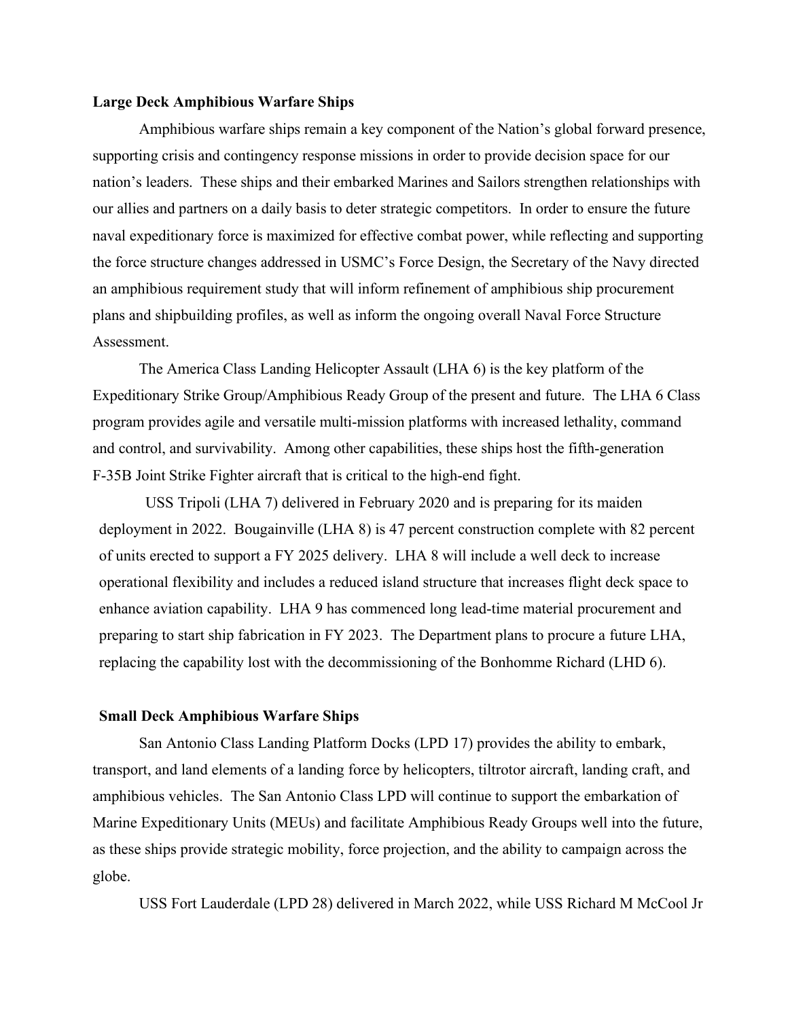#### **Large Deck Amphibious Warfare Ships**

Amphibious warfare ships remain a key component of the Nation's global forward presence, supporting crisis and contingency response missions in order to provide decision space for our nation's leaders. These ships and their embarked Marines and Sailors strengthen relationships with our allies and partners on a daily basis to deter strategic competitors. In order to ensure the future naval expeditionary force is maximized for effective combat power, while reflecting and supporting the force structure changes addressed in USMC's Force Design, the Secretary of the Navy directed an amphibious requirement study that will inform refinement of amphibious ship procurement plans and shipbuilding profiles, as well as inform the ongoing overall Naval Force Structure Assessment.

The America Class Landing Helicopter Assault (LHA 6) is the key platform of the Expeditionary Strike Group/Amphibious Ready Group of the present and future. The LHA 6 Class program provides agile and versatile multi-mission platforms with increased lethality, command and control, and survivability. Among other capabilities, these ships host the fifth-generation F-35B Joint Strike Fighter aircraft that is critical to the high-end fight.

USS Tripoli (LHA 7) delivered in February 2020 and is preparing for its maiden deployment in 2022. Bougainville (LHA 8) is 47 percent construction complete with 82 percent of units erected to support a FY 2025 delivery. LHA 8 will include a well deck to increase operational flexibility and includes a reduced island structure that increases flight deck space to enhance aviation capability. LHA 9 has commenced long lead-time material procurement and preparing to start ship fabrication in FY 2023. The Department plans to procure a future LHA, replacing the capability lost with the decommissioning of the Bonhomme Richard (LHD 6).

#### **Small Deck Amphibious Warfare Ships**

San Antonio Class Landing Platform Docks (LPD 17) provides the ability to embark, transport, and land elements of a landing force by helicopters, tiltrotor aircraft, landing craft, and amphibious vehicles. The San Antonio Class LPD will continue to support the embarkation of Marine Expeditionary Units (MEUs) and facilitate Amphibious Ready Groups well into the future, as these ships provide strategic mobility, force projection, and the ability to campaign across the globe.

USS Fort Lauderdale (LPD 28) delivered in March 2022, while USS Richard M McCool Jr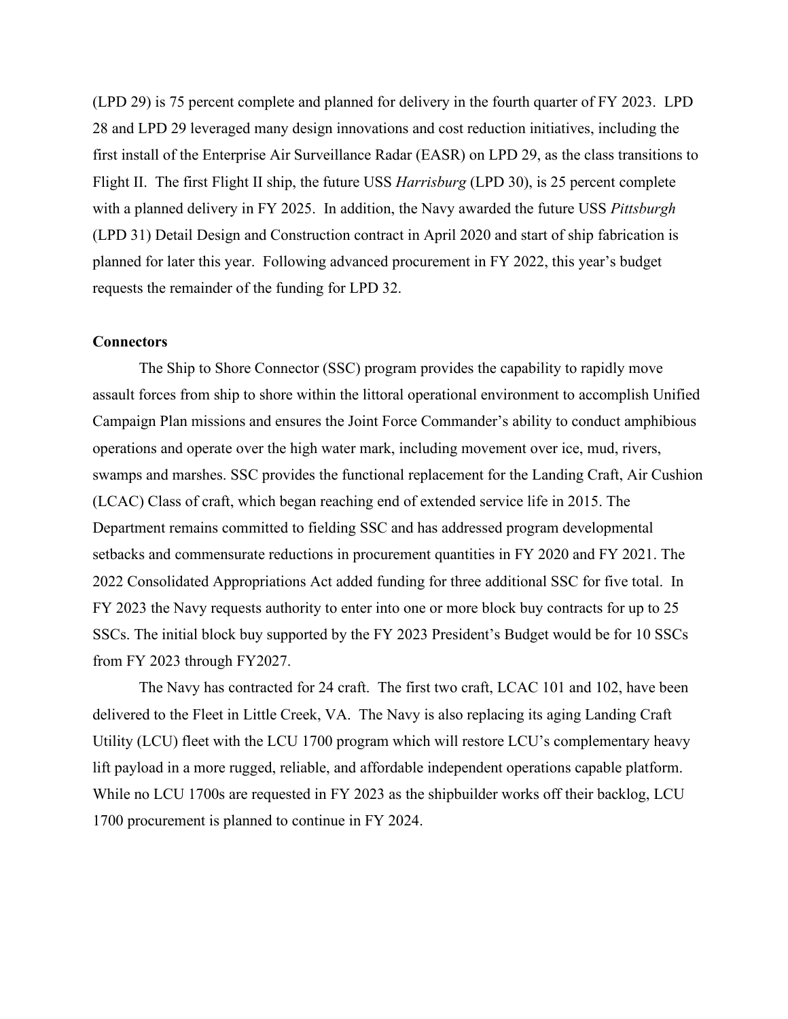(LPD 29) is 75 percent complete and planned for delivery in the fourth quarter of FY 2023. LPD 28 and LPD 29 leveraged many design innovations and cost reduction initiatives, including the first install of the Enterprise Air Surveillance Radar (EASR) on LPD 29, as the class transitions to Flight II. The first Flight II ship, the future USS *Harrisburg* (LPD 30), is 25 percent complete with a planned delivery in FY 2025. In addition, the Navy awarded the future USS *Pittsburgh*  (LPD 31) Detail Design and Construction contract in April 2020 and start of ship fabrication is planned for later this year. Following advanced procurement in FY 2022, this year's budget requests the remainder of the funding for LPD 32.

#### **Connectors**

The Ship to Shore Connector (SSC) program provides the capability to rapidly move assault forces from ship to shore within the littoral operational environment to accomplish Unified Campaign Plan missions and ensures the Joint Force Commander's ability to conduct amphibious operations and operate over the high water mark, including movement over ice, mud, rivers, swamps and marshes. SSC provides the functional replacement for the Landing Craft, Air Cushion (LCAC) Class of craft, which began reaching end of extended service life in 2015. The Department remains committed to fielding SSC and has addressed program developmental setbacks and commensurate reductions in procurement quantities in FY 2020 and FY 2021. The 2022 Consolidated Appropriations Act added funding for three additional SSC for five total. In FY 2023 the Navy requests authority to enter into one or more block buy contracts for up to 25 SSCs. The initial block buy supported by the FY 2023 President's Budget would be for 10 SSCs from FY 2023 through FY2027.

The Navy has contracted for 24 craft. The first two craft, LCAC 101 and 102, have been delivered to the Fleet in Little Creek, VA. The Navy is also replacing its aging Landing Craft Utility (LCU) fleet with the LCU 1700 program which will restore LCU's complementary heavy lift payload in a more rugged, reliable, and affordable independent operations capable platform. While no LCU 1700s are requested in FY 2023 as the shipbuilder works off their backlog, LCU 1700 procurement is planned to continue in FY 2024.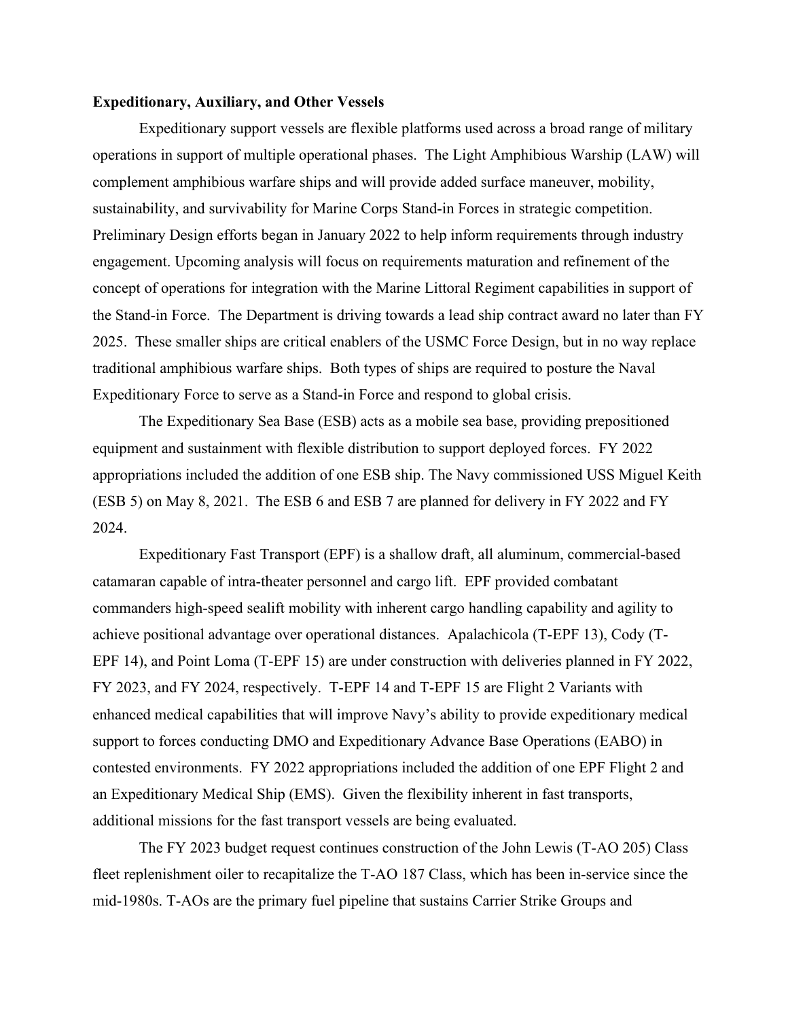### **Expeditionary, Auxiliary, and Other Vessels**

Expeditionary support vessels are flexible platforms used across a broad range of military operations in support of multiple operational phases. The Light Amphibious Warship (LAW) will complement amphibious warfare ships and will provide added surface maneuver, mobility, sustainability, and survivability for Marine Corps Stand-in Forces in strategic competition. Preliminary Design efforts began in January 2022 to help inform requirements through industry engagement. Upcoming analysis will focus on requirements maturation and refinement of the concept of operations for integration with the Marine Littoral Regiment capabilities in support of the Stand-in Force. The Department is driving towards a lead ship contract award no later than FY 2025. These smaller ships are critical enablers of the USMC Force Design, but in no way replace traditional amphibious warfare ships. Both types of ships are required to posture the Naval Expeditionary Force to serve as a Stand-in Force and respond to global crisis.

The Expeditionary Sea Base (ESB) acts as a mobile sea base, providing prepositioned equipment and sustainment with flexible distribution to support deployed forces. FY 2022 appropriations included the addition of one ESB ship. The Navy commissioned USS Miguel Keith (ESB 5) on May 8, 2021. The ESB 6 and ESB 7 are planned for delivery in FY 2022 and FY 2024.

Expeditionary Fast Transport (EPF) is a shallow draft, all aluminum, commercial-based catamaran capable of intra-theater personnel and cargo lift. EPF provided combatant commanders high-speed sealift mobility with inherent cargo handling capability and agility to achieve positional advantage over operational distances. Apalachicola (T-EPF 13), Cody (T-EPF 14), and Point Loma (T-EPF 15) are under construction with deliveries planned in FY 2022, FY 2023, and FY 2024, respectively. T-EPF 14 and T-EPF 15 are Flight 2 Variants with enhanced medical capabilities that will improve Navy's ability to provide expeditionary medical support to forces conducting DMO and Expeditionary Advance Base Operations (EABO) in contested environments. FY 2022 appropriations included the addition of one EPF Flight 2 and an Expeditionary Medical Ship (EMS). Given the flexibility inherent in fast transports, additional missions for the fast transport vessels are being evaluated.

The FY 2023 budget request continues construction of the John Lewis (T-AO 205) Class fleet replenishment oiler to recapitalize the T-AO 187 Class, which has been in-service since the mid-1980s. T-AOs are the primary fuel pipeline that sustains Carrier Strike Groups and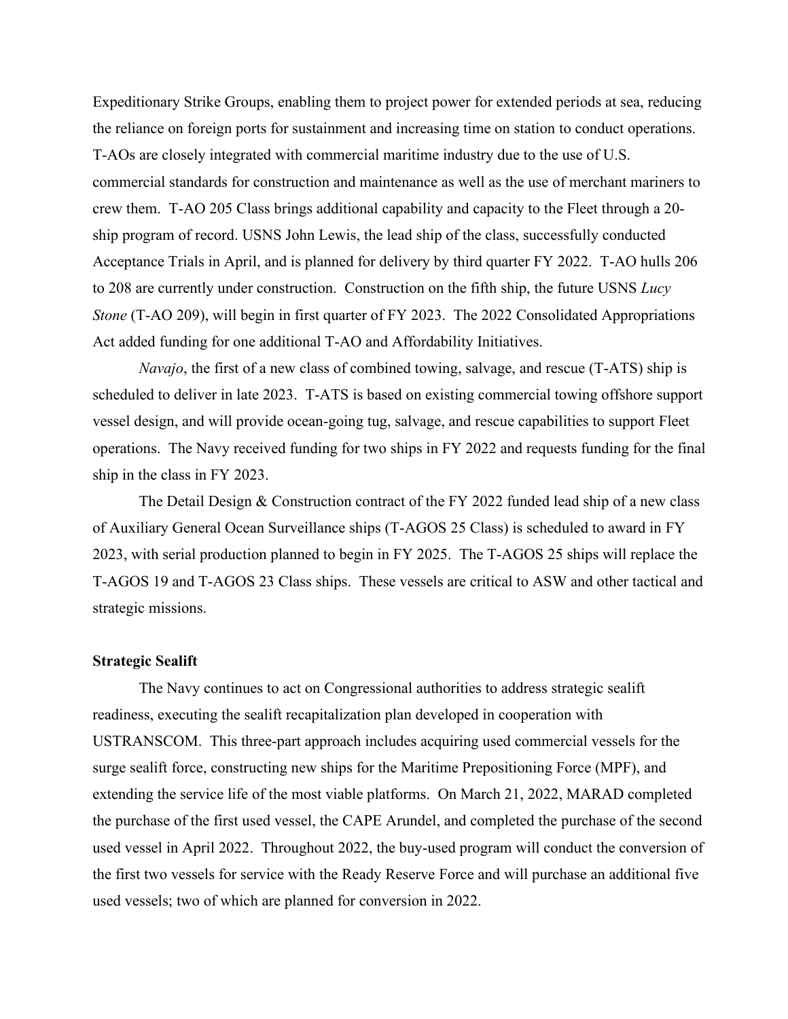Expeditionary Strike Groups, enabling them to project power for extended periods at sea, reducing the reliance on foreign ports for sustainment and increasing time on station to conduct operations. T-AOs are closely integrated with commercial maritime industry due to the use of U.S. commercial standards for construction and maintenance as well as the use of merchant mariners to crew them. T-AO 205 Class brings additional capability and capacity to the Fleet through a 20 ship program of record. USNS John Lewis, the lead ship of the class, successfully conducted Acceptance Trials in April, and is planned for delivery by third quarter FY 2022. T-AO hulls 206 to 208 are currently under construction. Construction on the fifth ship, the future USNS *Lucy Stone* (T-AO 209), will begin in first quarter of FY 2023. The 2022 Consolidated Appropriations Act added funding for one additional T-AO and Affordability Initiatives.

*Navajo*, the first of a new class of combined towing, salvage, and rescue (T-ATS) ship is scheduled to deliver in late 2023. T-ATS is based on existing commercial towing offshore support vessel design, and will provide ocean-going tug, salvage, and rescue capabilities to support Fleet operations. The Navy received funding for two ships in FY 2022 and requests funding for the final ship in the class in FY 2023.

The Detail Design & Construction contract of the FY 2022 funded lead ship of a new class of Auxiliary General Ocean Surveillance ships (T-AGOS 25 Class) is scheduled to award in FY 2023, with serial production planned to begin in FY 2025. The T-AGOS 25 ships will replace the T-AGOS 19 and T-AGOS 23 Class ships. These vessels are critical to ASW and other tactical and strategic missions.

## **Strategic Sealift**

The Navy continues to act on Congressional authorities to address strategic sealift readiness, executing the sealift recapitalization plan developed in cooperation with USTRANSCOM. This three-part approach includes acquiring used commercial vessels for the surge sealift force, constructing new ships for the Maritime Prepositioning Force (MPF), and extending the service life of the most viable platforms. On March 21, 2022, MARAD completed the purchase of the first used vessel, the CAPE Arundel, and completed the purchase of the second used vessel in April 2022. Throughout 2022, the buy-used program will conduct the conversion of the first two vessels for service with the Ready Reserve Force and will purchase an additional five used vessels; two of which are planned for conversion in 2022.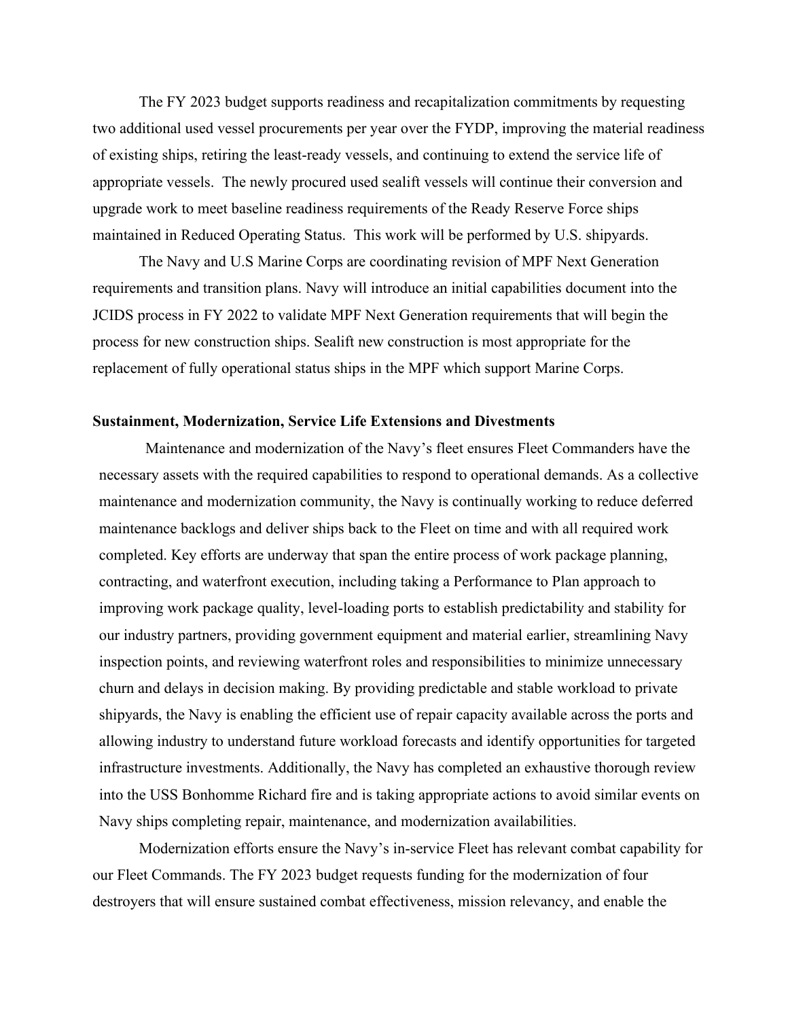The FY 2023 budget supports readiness and recapitalization commitments by requesting two additional used vessel procurements per year over the FYDP, improving the material readiness of existing ships, retiring the least-ready vessels, and continuing to extend the service life of appropriate vessels. The newly procured used sealift vessels will continue their conversion and upgrade work to meet baseline readiness requirements of the Ready Reserve Force ships maintained in Reduced Operating Status. This work will be performed by U.S. shipyards.

The Navy and U.S Marine Corps are coordinating revision of MPF Next Generation requirements and transition plans. Navy will introduce an initial capabilities document into the JCIDS process in FY 2022 to validate MPF Next Generation requirements that will begin the process for new construction ships. Sealift new construction is most appropriate for the replacement of fully operational status ships in the MPF which support Marine Corps.

#### **Sustainment, Modernization, Service Life Extensions and Divestments**

Maintenance and modernization of the Navy's fleet ensures Fleet Commanders have the necessary assets with the required capabilities to respond to operational demands. As a collective maintenance and modernization community, the Navy is continually working to reduce deferred maintenance backlogs and deliver ships back to the Fleet on time and with all required work completed. Key efforts are underway that span the entire process of work package planning, contracting, and waterfront execution, including taking a Performance to Plan approach to improving work package quality, level-loading ports to establish predictability and stability for our industry partners, providing government equipment and material earlier, streamlining Navy inspection points, and reviewing waterfront roles and responsibilities to minimize unnecessary churn and delays in decision making. By providing predictable and stable workload to private shipyards, the Navy is enabling the efficient use of repair capacity available across the ports and allowing industry to understand future workload forecasts and identify opportunities for targeted infrastructure investments. Additionally, the Navy has completed an exhaustive thorough review into the USS Bonhomme Richard fire and is taking appropriate actions to avoid similar events on Navy ships completing repair, maintenance, and modernization availabilities.

Modernization efforts ensure the Navy's in-service Fleet has relevant combat capability for our Fleet Commands. The FY 2023 budget requests funding for the modernization of four destroyers that will ensure sustained combat effectiveness, mission relevancy, and enable the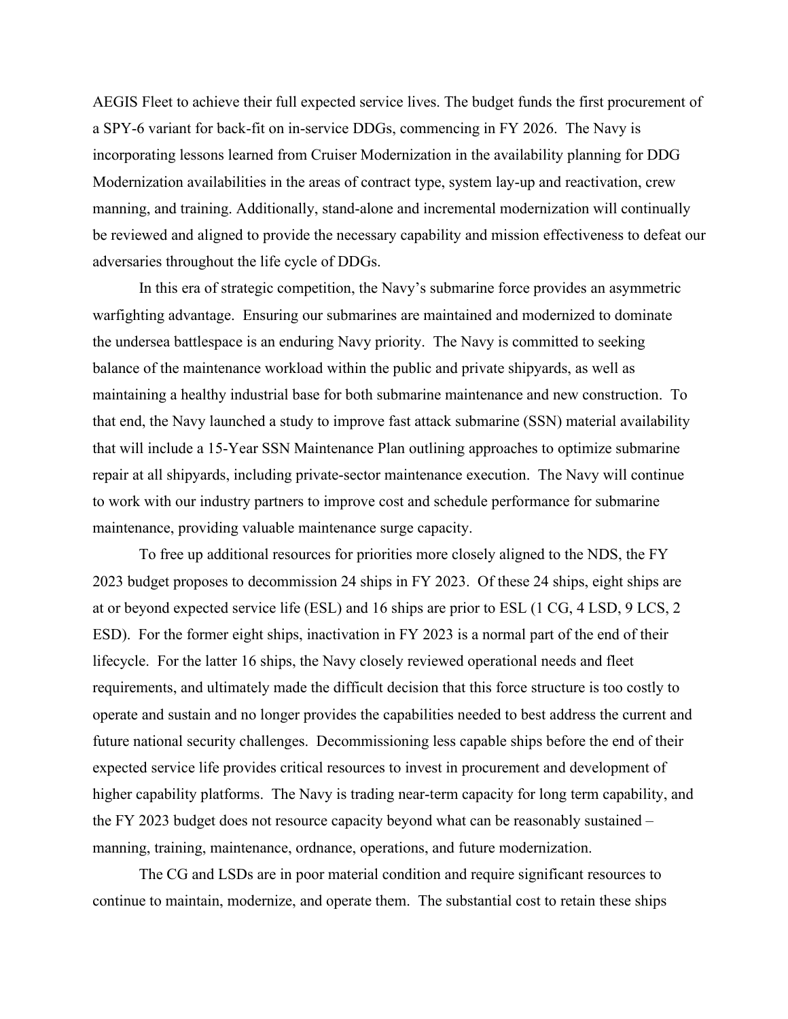AEGIS Fleet to achieve their full expected service lives. The budget funds the first procurement of a SPY-6 variant for back-fit on in-service DDGs, commencing in FY 2026. The Navy is incorporating lessons learned from Cruiser Modernization in the availability planning for DDG Modernization availabilities in the areas of contract type, system lay-up and reactivation, crew manning, and training. Additionally, stand-alone and incremental modernization will continually be reviewed and aligned to provide the necessary capability and mission effectiveness to defeat our adversaries throughout the life cycle of DDGs.

In this era of strategic competition, the Navy's submarine force provides an asymmetric warfighting advantage. Ensuring our submarines are maintained and modernized to dominate the undersea battlespace is an enduring Navy priority. The Navy is committed to seeking balance of the maintenance workload within the public and private shipyards, as well as maintaining a healthy industrial base for both submarine maintenance and new construction. To that end, the Navy launched a study to improve fast attack submarine (SSN) material availability that will include a 15-Year SSN Maintenance Plan outlining approaches to optimize submarine repair at all shipyards, including private-sector maintenance execution. The Navy will continue to work with our industry partners to improve cost and schedule performance for submarine maintenance, providing valuable maintenance surge capacity.

To free up additional resources for priorities more closely aligned to the NDS, the FY 2023 budget proposes to decommission 24 ships in FY 2023. Of these 24 ships, eight ships are at or beyond expected service life (ESL) and 16 ships are prior to ESL (1 CG, 4 LSD, 9 LCS, 2 ESD). For the former eight ships, inactivation in FY 2023 is a normal part of the end of their lifecycle. For the latter 16 ships, the Navy closely reviewed operational needs and fleet requirements, and ultimately made the difficult decision that this force structure is too costly to operate and sustain and no longer provides the capabilities needed to best address the current and future national security challenges. Decommissioning less capable ships before the end of their expected service life provides critical resources to invest in procurement and development of higher capability platforms. The Navy is trading near-term capacity for long term capability, and the FY 2023 budget does not resource capacity beyond what can be reasonably sustained – manning, training, maintenance, ordnance, operations, and future modernization.

The CG and LSDs are in poor material condition and require significant resources to continue to maintain, modernize, and operate them. The substantial cost to retain these ships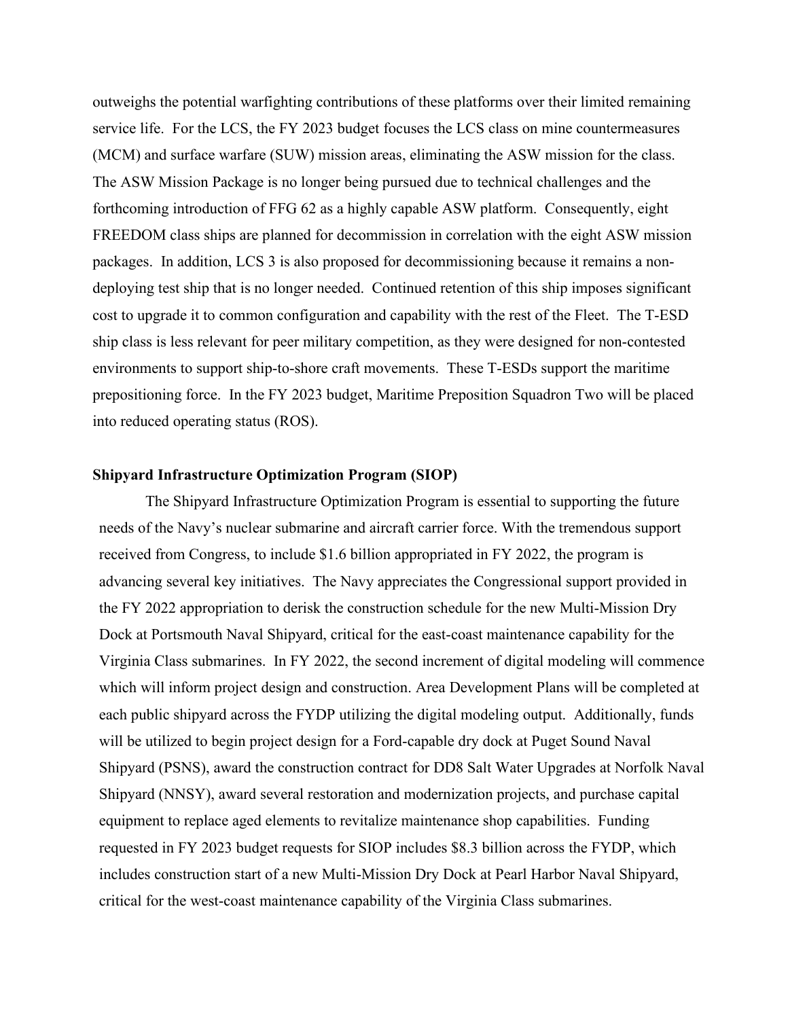outweighs the potential warfighting contributions of these platforms over their limited remaining service life. For the LCS, the FY 2023 budget focuses the LCS class on mine countermeasures (MCM) and surface warfare (SUW) mission areas, eliminating the ASW mission for the class. The ASW Mission Package is no longer being pursued due to technical challenges and the forthcoming introduction of FFG 62 as a highly capable ASW platform. Consequently, eight FREEDOM class ships are planned for decommission in correlation with the eight ASW mission packages. In addition, LCS 3 is also proposed for decommissioning because it remains a nondeploying test ship that is no longer needed. Continued retention of this ship imposes significant cost to upgrade it to common configuration and capability with the rest of the Fleet. The T-ESD ship class is less relevant for peer military competition, as they were designed for non-contested environments to support ship-to-shore craft movements. These T-ESDs support the maritime prepositioning force. In the FY 2023 budget, Maritime Preposition Squadron Two will be placed into reduced operating status (ROS).

#### **Shipyard Infrastructure Optimization Program (SIOP)**

The Shipyard Infrastructure Optimization Program is essential to supporting the future needs of the Navy's nuclear submarine and aircraft carrier force. With the tremendous support received from Congress, to include \$1.6 billion appropriated in FY 2022, the program is advancing several key initiatives. The Navy appreciates the Congressional support provided in the FY 2022 appropriation to derisk the construction schedule for the new Multi-Mission Dry Dock at Portsmouth Naval Shipyard, critical for the east-coast maintenance capability for the Virginia Class submarines. In FY 2022, the second increment of digital modeling will commence which will inform project design and construction. Area Development Plans will be completed at each public shipyard across the FYDP utilizing the digital modeling output. Additionally, funds will be utilized to begin project design for a Ford-capable dry dock at Puget Sound Naval Shipyard (PSNS), award the construction contract for DD8 Salt Water Upgrades at Norfolk Naval Shipyard (NNSY), award several restoration and modernization projects, and purchase capital equipment to replace aged elements to revitalize maintenance shop capabilities. Funding requested in FY 2023 budget requests for SIOP includes \$8.3 billion across the FYDP, which includes construction start of a new Multi-Mission Dry Dock at Pearl Harbor Naval Shipyard, critical for the west-coast maintenance capability of the Virginia Class submarines.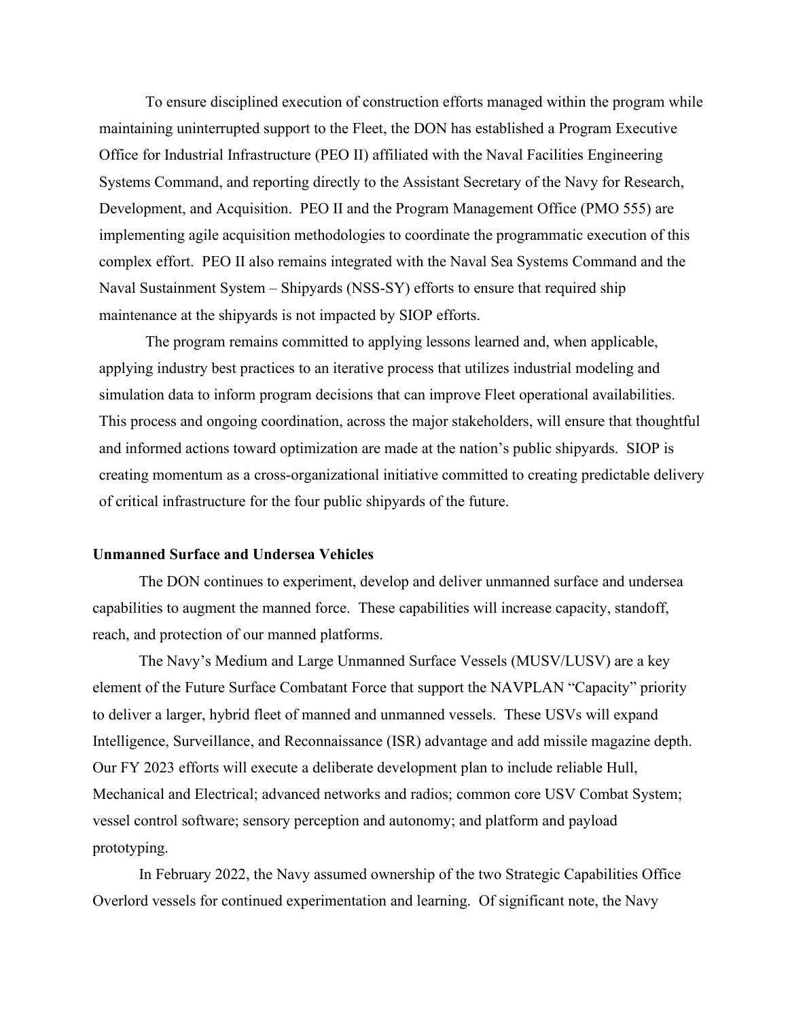To ensure disciplined execution of construction efforts managed within the program while maintaining uninterrupted support to the Fleet, the DON has established a Program Executive Office for Industrial Infrastructure (PEO II) affiliated with the Naval Facilities Engineering Systems Command, and reporting directly to the Assistant Secretary of the Navy for Research, Development, and Acquisition. PEO II and the Program Management Office (PMO 555) are implementing agile acquisition methodologies to coordinate the programmatic execution of this complex effort. PEO II also remains integrated with the Naval Sea Systems Command and the Naval Sustainment System – Shipyards (NSS-SY) efforts to ensure that required ship maintenance at the shipyards is not impacted by SIOP efforts.

The program remains committed to applying lessons learned and, when applicable, applying industry best practices to an iterative process that utilizes industrial modeling and simulation data to inform program decisions that can improve Fleet operational availabilities. This process and ongoing coordination, across the major stakeholders, will ensure that thoughtful and informed actions toward optimization are made at the nation's public shipyards. SIOP is creating momentum as a cross-organizational initiative committed to creating predictable delivery of critical infrastructure for the four public shipyards of the future.

#### **Unmanned Surface and Undersea Vehicles**

The DON continues to experiment, develop and deliver unmanned surface and undersea capabilities to augment the manned force. These capabilities will increase capacity, standoff, reach, and protection of our manned platforms.

The Navy's Medium and Large Unmanned Surface Vessels (MUSV/LUSV) are a key element of the Future Surface Combatant Force that support the NAVPLAN "Capacity" priority to deliver a larger, hybrid fleet of manned and unmanned vessels. These USVs will expand Intelligence, Surveillance, and Reconnaissance (ISR) advantage and add missile magazine depth. Our FY 2023 efforts will execute a deliberate development plan to include reliable Hull, Mechanical and Electrical; advanced networks and radios; common core USV Combat System; vessel control software; sensory perception and autonomy; and platform and payload prototyping.

In February 2022, the Navy assumed ownership of the two Strategic Capabilities Office Overlord vessels for continued experimentation and learning. Of significant note, the Navy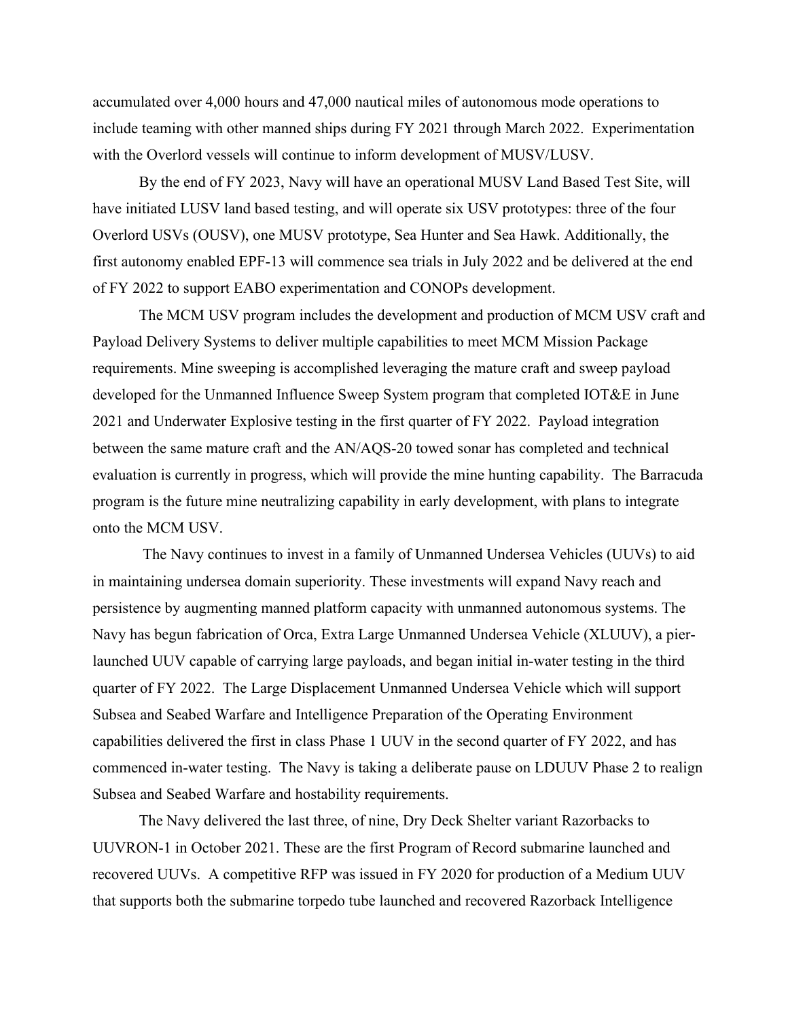accumulated over 4,000 hours and 47,000 nautical miles of autonomous mode operations to include teaming with other manned ships during FY 2021 through March 2022. Experimentation with the Overlord vessels will continue to inform development of MUSV/LUSV.

By the end of FY 2023, Navy will have an operational MUSV Land Based Test Site, will have initiated LUSV land based testing, and will operate six USV prototypes: three of the four Overlord USVs (OUSV), one MUSV prototype, Sea Hunter and Sea Hawk. Additionally, the first autonomy enabled EPF-13 will commence sea trials in July 2022 and be delivered at the end of FY 2022 to support EABO experimentation and CONOPs development.

The MCM USV program includes the development and production of MCM USV craft and Payload Delivery Systems to deliver multiple capabilities to meet MCM Mission Package requirements. Mine sweeping is accomplished leveraging the mature craft and sweep payload developed for the Unmanned Influence Sweep System program that completed IOT&E in June 2021 and Underwater Explosive testing in the first quarter of FY 2022. Payload integration between the same mature craft and the AN/AQS-20 towed sonar has completed and technical evaluation is currently in progress, which will provide the mine hunting capability. The Barracuda program is the future mine neutralizing capability in early development, with plans to integrate onto the MCM USV.

The Navy continues to invest in a family of Unmanned Undersea Vehicles (UUVs) to aid in maintaining undersea domain superiority. These investments will expand Navy reach and persistence by augmenting manned platform capacity with unmanned autonomous systems. The Navy has begun fabrication of Orca, Extra Large Unmanned Undersea Vehicle (XLUUV), a pierlaunched UUV capable of carrying large payloads, and began initial in-water testing in the third quarter of FY 2022. The Large Displacement Unmanned Undersea Vehicle which will support Subsea and Seabed Warfare and Intelligence Preparation of the Operating Environment capabilities delivered the first in class Phase 1 UUV in the second quarter of FY 2022, and has commenced in-water testing. The Navy is taking a deliberate pause on LDUUV Phase 2 to realign Subsea and Seabed Warfare and hostability requirements.

The Navy delivered the last three, of nine, Dry Deck Shelter variant Razorbacks to UUVRON-1 in October 2021. These are the first Program of Record submarine launched and recovered UUVs. A competitive RFP was issued in FY 2020 for production of a Medium UUV that supports both the submarine torpedo tube launched and recovered Razorback Intelligence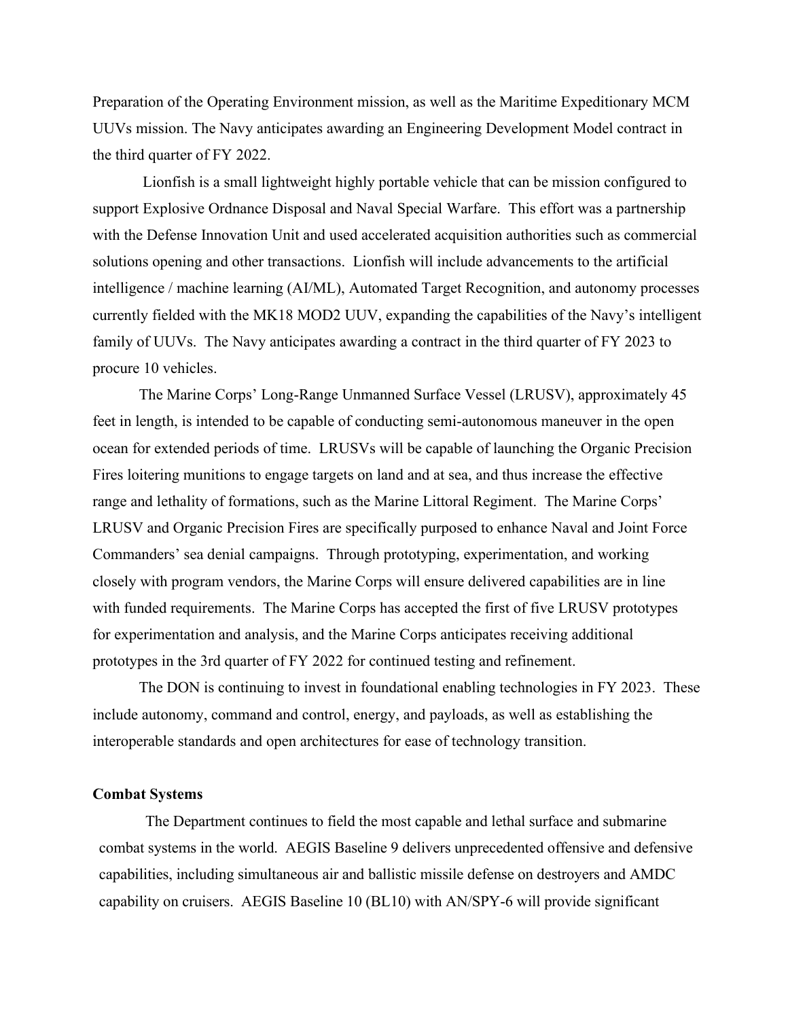Preparation of the Operating Environment mission, as well as the Maritime Expeditionary MCM UUVs mission. The Navy anticipates awarding an Engineering Development Model contract in the third quarter of FY 2022.

Lionfish is a small lightweight highly portable vehicle that can be mission configured to support Explosive Ordnance Disposal and Naval Special Warfare. This effort was a partnership with the Defense Innovation Unit and used accelerated acquisition authorities such as commercial solutions opening and other transactions. Lionfish will include advancements to the artificial intelligence / machine learning (AI/ML), Automated Target Recognition, and autonomy processes currently fielded with the MK18 MOD2 UUV, expanding the capabilities of the Navy's intelligent family of UUVs. The Navy anticipates awarding a contract in the third quarter of FY 2023 to procure 10 vehicles.

The Marine Corps' Long-Range Unmanned Surface Vessel (LRUSV), approximately 45 feet in length, is intended to be capable of conducting semi-autonomous maneuver in the open ocean for extended periods of time. LRUSVs will be capable of launching the Organic Precision Fires loitering munitions to engage targets on land and at sea, and thus increase the effective range and lethality of formations, such as the Marine Littoral Regiment. The Marine Corps' LRUSV and Organic Precision Fires are specifically purposed to enhance Naval and Joint Force Commanders' sea denial campaigns. Through prototyping, experimentation, and working closely with program vendors, the Marine Corps will ensure delivered capabilities are in line with funded requirements. The Marine Corps has accepted the first of five LRUSV prototypes for experimentation and analysis, and the Marine Corps anticipates receiving additional prototypes in the 3rd quarter of FY 2022 for continued testing and refinement.

The DON is continuing to invest in foundational enabling technologies in FY 2023. These include autonomy, command and control, energy, and payloads, as well as establishing the interoperable standards and open architectures for ease of technology transition.

### **Combat Systems**

The Department continues to field the most capable and lethal surface and submarine combat systems in the world. AEGIS Baseline 9 delivers unprecedented offensive and defensive capabilities, including simultaneous air and ballistic missile defense on destroyers and AMDC capability on cruisers. AEGIS Baseline 10 (BL10) with AN/SPY-6 will provide significant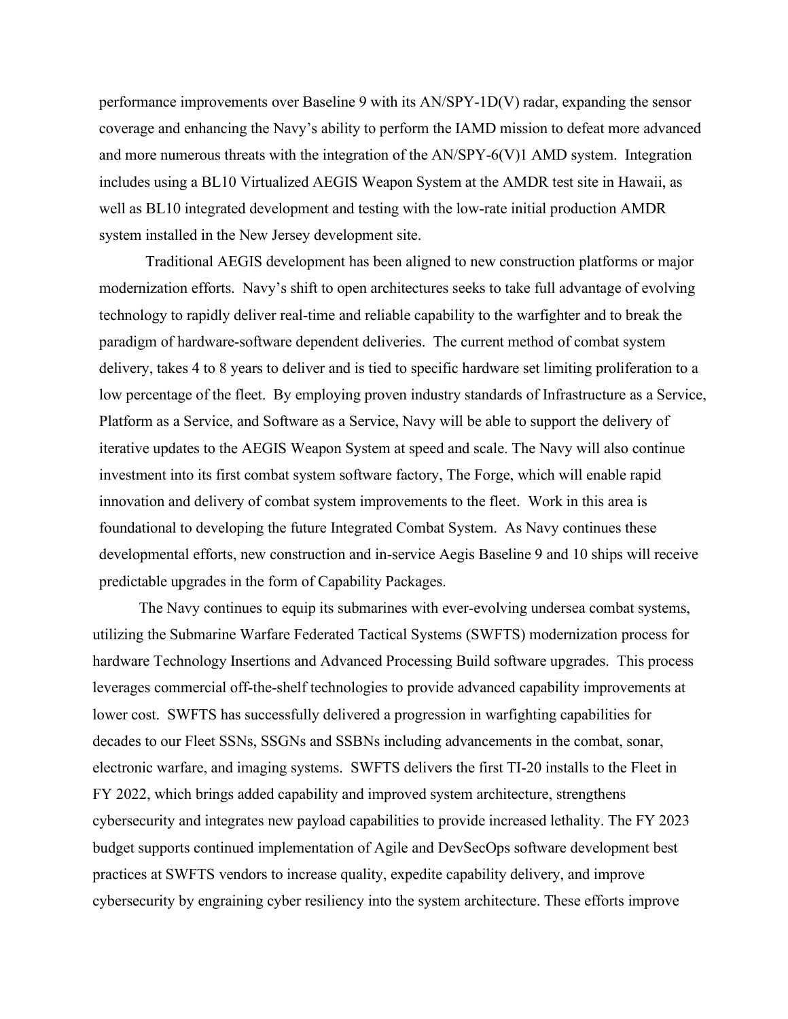performance improvements over Baseline 9 with its AN/SPY-1D(V) radar, expanding the sensor coverage and enhancing the Navy's ability to perform the IAMD mission to defeat more advanced and more numerous threats with the integration of the AN/SPY-6(V)1 AMD system. Integration includes using a BL10 Virtualized AEGIS Weapon System at the AMDR test site in Hawaii, as well as BL10 integrated development and testing with the low-rate initial production AMDR system installed in the New Jersey development site.

Traditional AEGIS development has been aligned to new construction platforms or major modernization efforts. Navy's shift to open architectures seeks to take full advantage of evolving technology to rapidly deliver real-time and reliable capability to the warfighter and to break the paradigm of hardware-software dependent deliveries. The current method of combat system delivery, takes 4 to 8 years to deliver and is tied to specific hardware set limiting proliferation to a low percentage of the fleet. By employing proven industry standards of Infrastructure as a Service, Platform as a Service, and Software as a Service, Navy will be able to support the delivery of iterative updates to the AEGIS Weapon System at speed and scale. The Navy will also continue investment into its first combat system software factory, The Forge, which will enable rapid innovation and delivery of combat system improvements to the fleet. Work in this area is foundational to developing the future Integrated Combat System. As Navy continues these developmental efforts, new construction and in-service Aegis Baseline 9 and 10 ships will receive predictable upgrades in the form of Capability Packages.

The Navy continues to equip its submarines with ever-evolving undersea combat systems, utilizing the Submarine Warfare Federated Tactical Systems (SWFTS) modernization process for hardware Technology Insertions and Advanced Processing Build software upgrades. This process leverages commercial off-the-shelf technologies to provide advanced capability improvements at lower cost. SWFTS has successfully delivered a progression in warfighting capabilities for decades to our Fleet SSNs, SSGNs and SSBNs including advancements in the combat, sonar, electronic warfare, and imaging systems. SWFTS delivers the first TI-20 installs to the Fleet in FY 2022, which brings added capability and improved system architecture, strengthens cybersecurity and integrates new payload capabilities to provide increased lethality. The FY 2023 budget supports continued implementation of Agile and DevSecOps software development best practices at SWFTS vendors to increase quality, expedite capability delivery, and improve cybersecurity by engraining cyber resiliency into the system architecture. These efforts improve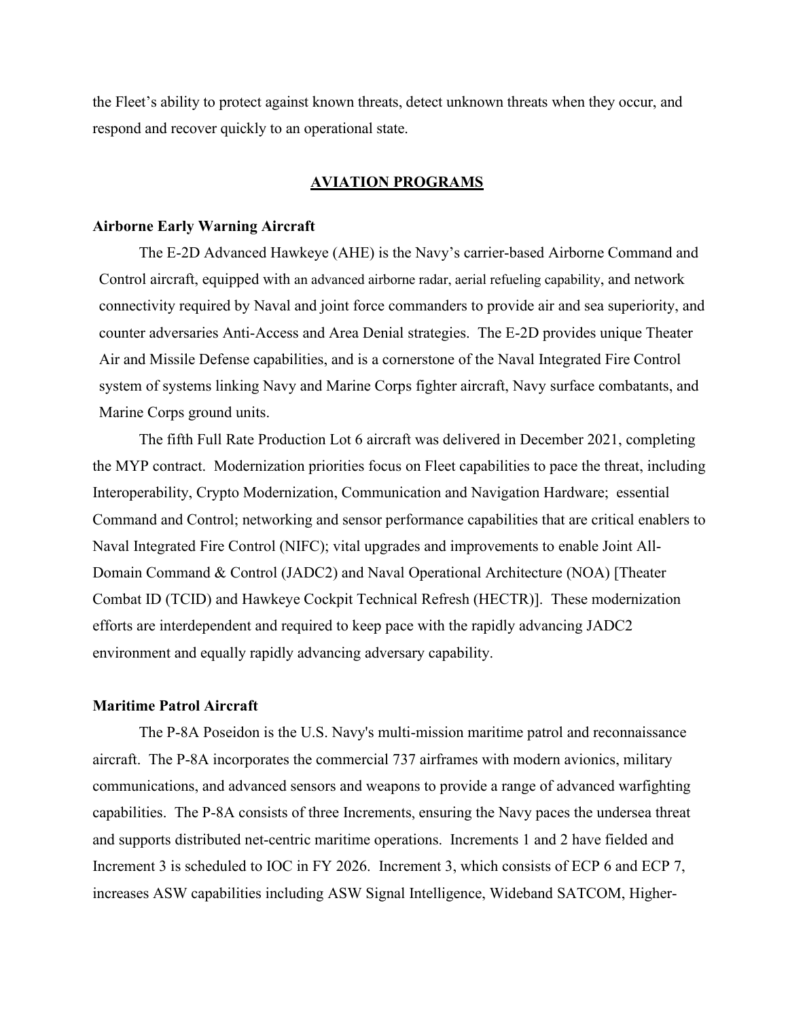the Fleet's ability to protect against known threats, detect unknown threats when they occur, and respond and recover quickly to an operational state.

#### **AVIATION PROGRAMS**

#### **Airborne Early Warning Aircraft**

The E-2D Advanced Hawkeye (AHE) is the Navy's carrier-based Airborne Command and Control aircraft, equipped with an advanced airborne radar, aerial refueling capability, and network connectivity required by Naval and joint force commanders to provide air and sea superiority, and counter adversaries Anti-Access and Area Denial strategies. The E-2D provides unique Theater Air and Missile Defense capabilities, and is a cornerstone of the Naval Integrated Fire Control system of systems linking Navy and Marine Corps fighter aircraft, Navy surface combatants, and Marine Corps ground units.

The fifth Full Rate Production Lot 6 aircraft was delivered in December 2021, completing the MYP contract. Modernization priorities focus on Fleet capabilities to pace the threat, including Interoperability, Crypto Modernization, Communication and Navigation Hardware; essential Command and Control; networking and sensor performance capabilities that are critical enablers to Naval Integrated Fire Control (NIFC); vital upgrades and improvements to enable Joint All-Domain Command & Control (JADC2) and Naval Operational Architecture (NOA) [Theater Combat ID (TCID) and Hawkeye Cockpit Technical Refresh (HECTR)]. These modernization efforts are interdependent and required to keep pace with the rapidly advancing JADC2 environment and equally rapidly advancing adversary capability.

#### **Maritime Patrol Aircraft**

The P-8A Poseidon is the U.S. Navy's multi-mission maritime patrol and reconnaissance aircraft. The P-8A incorporates the commercial 737 airframes with modern avionics, military communications, and advanced sensors and weapons to provide a range of advanced warfighting capabilities. The P-8A consists of three Increments, ensuring the Navy paces the undersea threat and supports distributed net-centric maritime operations. Increments 1 and 2 have fielded and Increment 3 is scheduled to IOC in FY 2026. Increment 3, which consists of ECP 6 and ECP 7, increases ASW capabilities including ASW Signal Intelligence, Wideband SATCOM, Higher-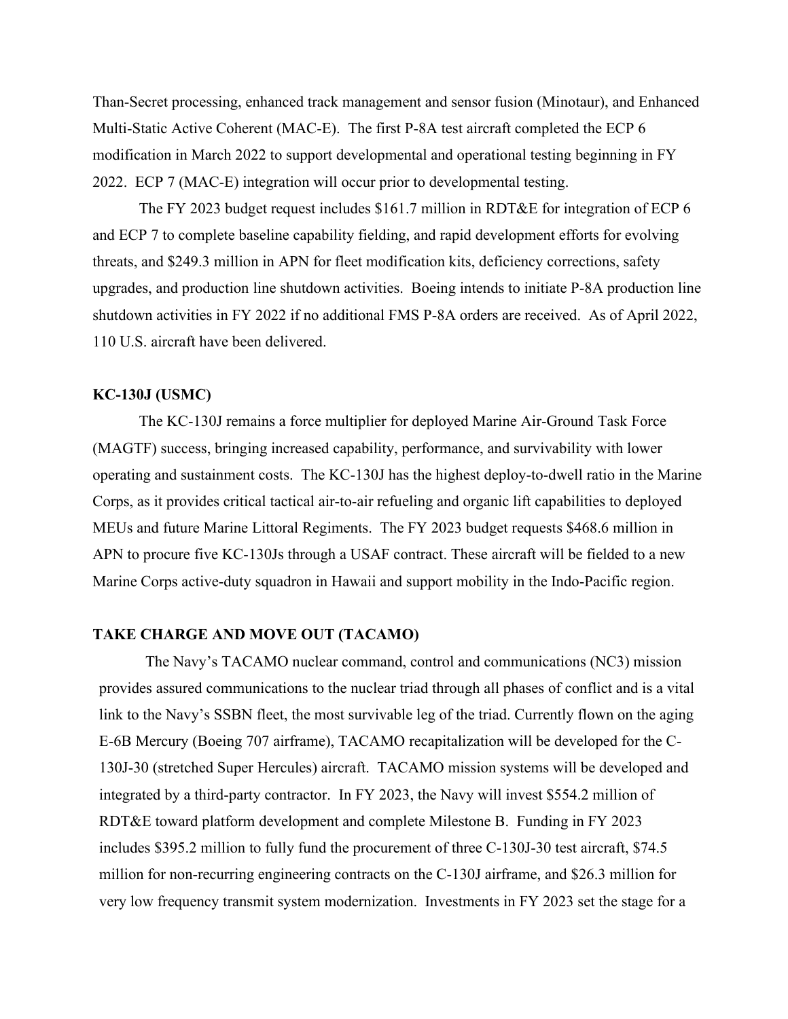Than-Secret processing, enhanced track management and sensor fusion (Minotaur), and Enhanced Multi-Static Active Coherent (MAC-E). The first P-8A test aircraft completed the ECP 6 modification in March 2022 to support developmental and operational testing beginning in FY 2022. ECP 7 (MAC-E) integration will occur prior to developmental testing.

The FY 2023 budget request includes \$161.7 million in RDT&E for integration of ECP 6 and ECP 7 to complete baseline capability fielding, and rapid development efforts for evolving threats, and \$249.3 million in APN for fleet modification kits, deficiency corrections, safety upgrades, and production line shutdown activities. Boeing intends to initiate P-8A production line shutdown activities in FY 2022 if no additional FMS P-8A orders are received. As of April 2022, 110 U.S. aircraft have been delivered.

#### **KC-130J (USMC)**

The KC-130J remains a force multiplier for deployed Marine Air-Ground Task Force (MAGTF) success, bringing increased capability, performance, and survivability with lower operating and sustainment costs. The KC-130J has the highest deploy-to-dwell ratio in the Marine Corps, as it provides critical tactical air-to-air refueling and organic lift capabilities to deployed MEUs and future Marine Littoral Regiments. The FY 2023 budget requests \$468.6 million in APN to procure five KC-130Js through a USAF contract. These aircraft will be fielded to a new Marine Corps active-duty squadron in Hawaii and support mobility in the Indo-Pacific region.

### **TAKE CHARGE AND MOVE OUT (TACAMO)**

The Navy's TACAMO nuclear command, control and communications (NC3) mission provides assured communications to the nuclear triad through all phases of conflict and is a vital link to the Navy's SSBN fleet, the most survivable leg of the triad. Currently flown on the aging E-6B Mercury (Boeing 707 airframe), TACAMO recapitalization will be developed for the C-130J-30 (stretched Super Hercules) aircraft. TACAMO mission systems will be developed and integrated by a third-party contractor. In FY 2023, the Navy will invest \$554.2 million of RDT&E toward platform development and complete Milestone B. Funding in FY 2023 includes \$395.2 million to fully fund the procurement of three C-130J-30 test aircraft, \$74.5 million for non-recurring engineering contracts on the C-130J airframe, and \$26.3 million for very low frequency transmit system modernization. Investments in FY 2023 set the stage for a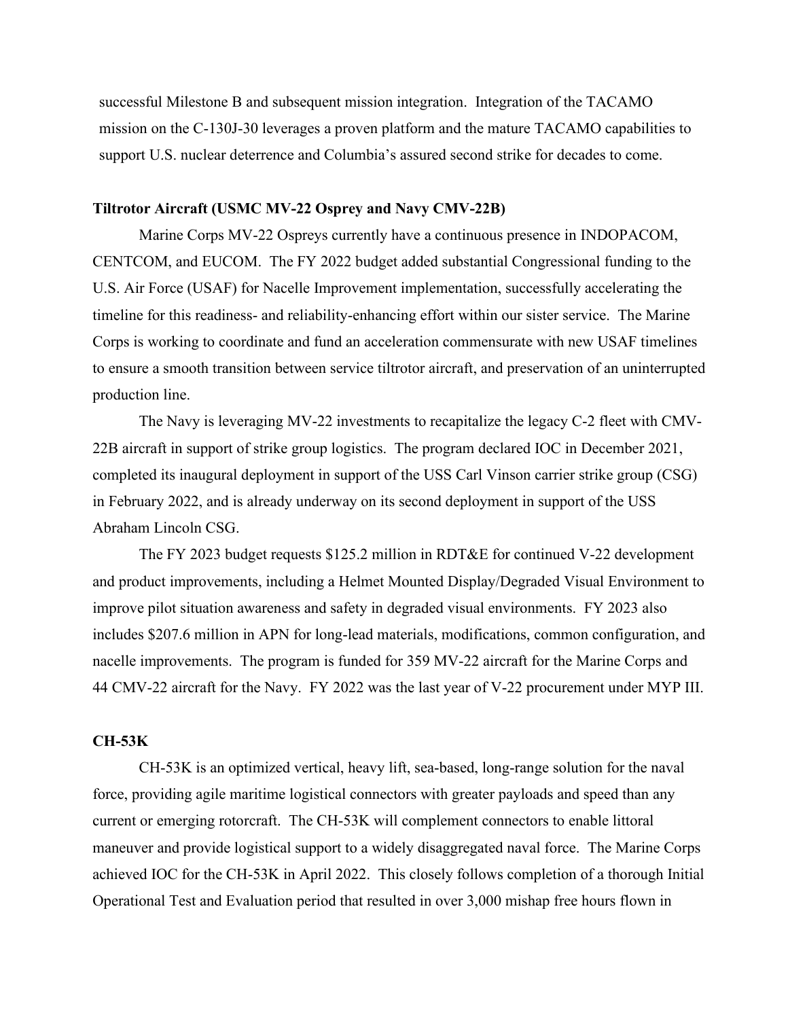successful Milestone B and subsequent mission integration. Integration of the TACAMO mission on the C-130J-30 leverages a proven platform and the mature TACAMO capabilities to support U.S. nuclear deterrence and Columbia's assured second strike for decades to come.

## **Tiltrotor Aircraft (USMC MV-22 Osprey and Navy CMV-22B)**

Marine Corps MV-22 Ospreys currently have a continuous presence in INDOPACOM, CENTCOM, and EUCOM. The FY 2022 budget added substantial Congressional funding to the U.S. Air Force (USAF) for Nacelle Improvement implementation, successfully accelerating the timeline for this readiness- and reliability-enhancing effort within our sister service. The Marine Corps is working to coordinate and fund an acceleration commensurate with new USAF timelines to ensure a smooth transition between service tiltrotor aircraft, and preservation of an uninterrupted production line.

The Navy is leveraging MV-22 investments to recapitalize the legacy C-2 fleet with CMV-22B aircraft in support of strike group logistics. The program declared IOC in December 2021, completed its inaugural deployment in support of the USS Carl Vinson carrier strike group (CSG) in February 2022, and is already underway on its second deployment in support of the USS Abraham Lincoln CSG.

The FY 2023 budget requests \$125.2 million in RDT&E for continued V-22 development and product improvements, including a Helmet Mounted Display/Degraded Visual Environment to improve pilot situation awareness and safety in degraded visual environments. FY 2023 also includes \$207.6 million in APN for long-lead materials, modifications, common configuration, and nacelle improvements. The program is funded for 359 MV-22 aircraft for the Marine Corps and 44 CMV-22 aircraft for the Navy. FY 2022 was the last year of V-22 procurement under MYP III.

#### **CH-53K**

CH-53K is an optimized vertical, heavy lift, sea-based, long-range solution for the naval force, providing agile maritime logistical connectors with greater payloads and speed than any current or emerging rotorcraft. The CH-53K will complement connectors to enable littoral maneuver and provide logistical support to a widely disaggregated naval force. The Marine Corps achieved IOC for the CH-53K in April 2022. This closely follows completion of a thorough Initial Operational Test and Evaluation period that resulted in over 3,000 mishap free hours flown in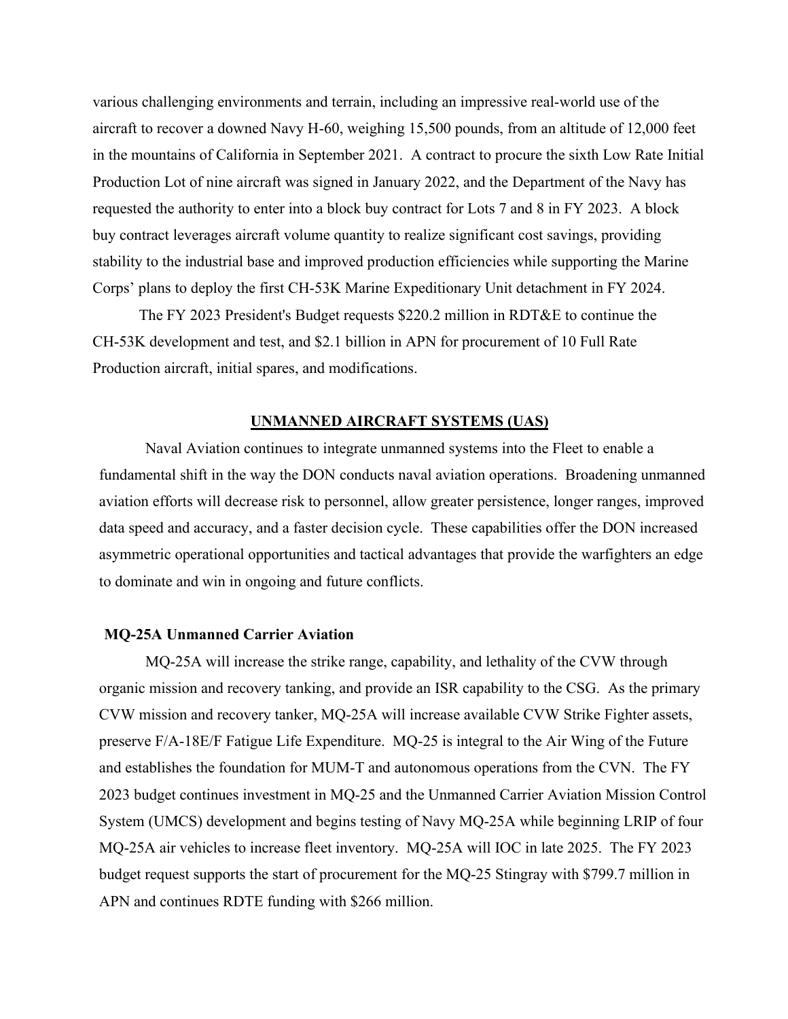various challenging environments and terrain, including an impressive real-world use of the aircraft to recover a downed Navy H-60, weighing 15,500 pounds, from an altitude of 12,000 feet in the mountains of California in September 2021. A contract to procure the sixth Low Rate Initial Production Lot of nine aircraft was signed in January 2022, and the Department of the Navy has requested the authority to enter into a block buy contract for Lots 7 and 8 in FY 2023. A block buy contract leverages aircraft volume quantity to realize significant cost savings, providing stability to the industrial base and improved production efficiencies while supporting the Marine Corps' plans to deploy the first CH-53K Marine Expeditionary Unit detachment in FY 2024.

The FY 2023 President's Budget requests \$220.2 million in RDT&E to continue the CH-53K development and test, and \$2.1 billion in APN for procurement of 10 Full Rate Production aircraft, initial spares, and modifications.

#### **UNMANNED AIRCRAFT SYSTEMS (UAS)**

Naval Aviation continues to integrate unmanned systems into the Fleet to enable a fundamental shift in the way the DON conducts naval aviation operations. Broadening unmanned aviation efforts will decrease risk to personnel, allow greater persistence, longer ranges, improved data speed and accuracy, and a faster decision cycle. These capabilities offer the DON increased asymmetric operational opportunities and tactical advantages that provide the warfighters an edge to dominate and win in ongoing and future conflicts.

#### **MQ-25A Unmanned Carrier Aviation**

MQ-25A will increase the strike range, capability, and lethality of the CVW through organic mission and recovery tanking, and provide an ISR capability to the CSG. As the primary CVW mission and recovery tanker, MQ-25A will increase available CVW Strike Fighter assets, preserve F/A-18E/F Fatigue Life Expenditure. MQ-25 is integral to the Air Wing of the Future and establishes the foundation for MUM-T and autonomous operations from the CVN. The FY 2023 budget continues investment in MQ-25 and the Unmanned Carrier Aviation Mission Control System (UMCS) development and begins testing of Navy MQ-25A while beginning LRIP of four MQ-25A air vehicles to increase fleet inventory. MQ-25A will IOC in late 2025. The FY 2023 budget request supports the start of procurement for the MQ-25 Stingray with \$799.7 million in APN and continues RDTE funding with \$266 million.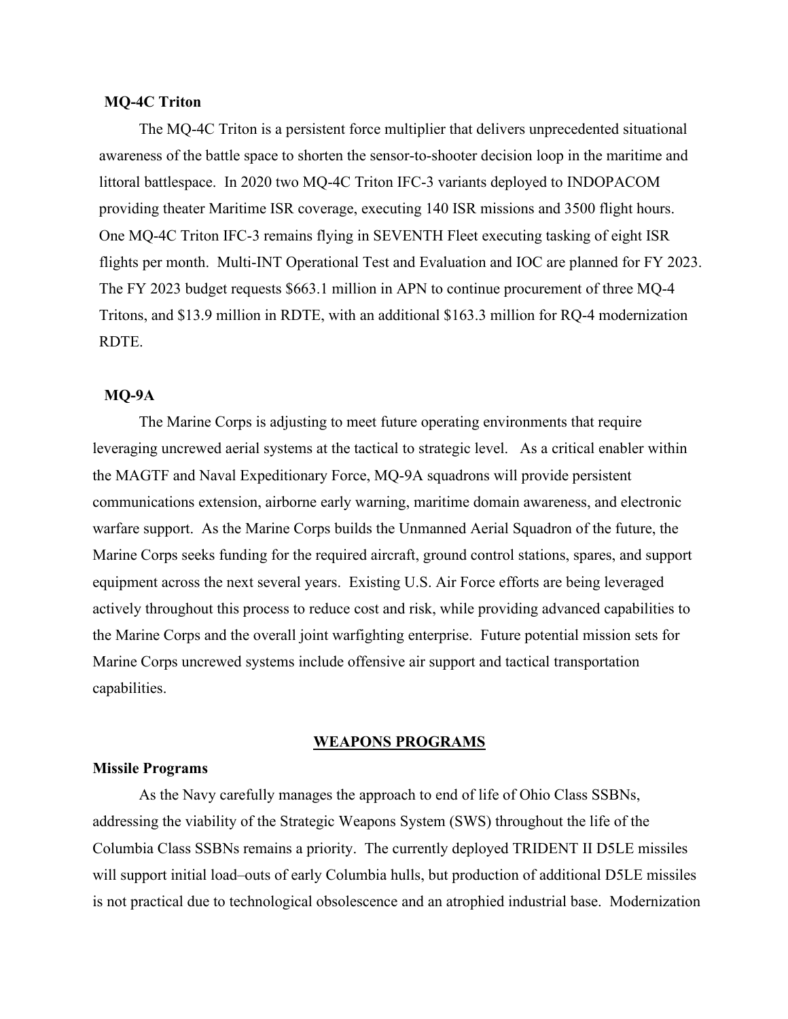### **MQ-4C Triton**

The MQ-4C Triton is a persistent force multiplier that delivers unprecedented situational awareness of the battle space to shorten the sensor-to-shooter decision loop in the maritime and littoral battlespace. In 2020 two MQ-4C Triton IFC-3 variants deployed to INDOPACOM providing theater Maritime ISR coverage, executing 140 ISR missions and 3500 flight hours. One MQ-4C Triton IFC-3 remains flying in SEVENTH Fleet executing tasking of eight ISR flights per month. Multi-INT Operational Test and Evaluation and IOC are planned for FY 2023. The FY 2023 budget requests \$663.1 million in APN to continue procurement of three MQ-4 Tritons, and \$13.9 million in RDTE, with an additional \$163.3 million for RQ-4 modernization RDTE.

#### **MQ-9A**

The Marine Corps is adjusting to meet future operating environments that require leveraging uncrewed aerial systems at the tactical to strategic level. As a critical enabler within the MAGTF and Naval Expeditionary Force, MQ-9A squadrons will provide persistent communications extension, airborne early warning, maritime domain awareness, and electronic warfare support. As the Marine Corps builds the Unmanned Aerial Squadron of the future, the Marine Corps seeks funding for the required aircraft, ground control stations, spares, and support equipment across the next several years. Existing U.S. Air Force efforts are being leveraged actively throughout this process to reduce cost and risk, while providing advanced capabilities to the Marine Corps and the overall joint warfighting enterprise. Future potential mission sets for Marine Corps uncrewed systems include offensive air support and tactical transportation capabilities.

## **WEAPONS PROGRAMS**

#### **Missile Programs**

As the Navy carefully manages the approach to end of life of Ohio Class SSBNs, addressing the viability of the Strategic Weapons System (SWS) throughout the life of the Columbia Class SSBNs remains a priority. The currently deployed TRIDENT II D5LE missiles will support initial load–outs of early Columbia hulls, but production of additional D5LE missiles is not practical due to technological obsolescence and an atrophied industrial base. Modernization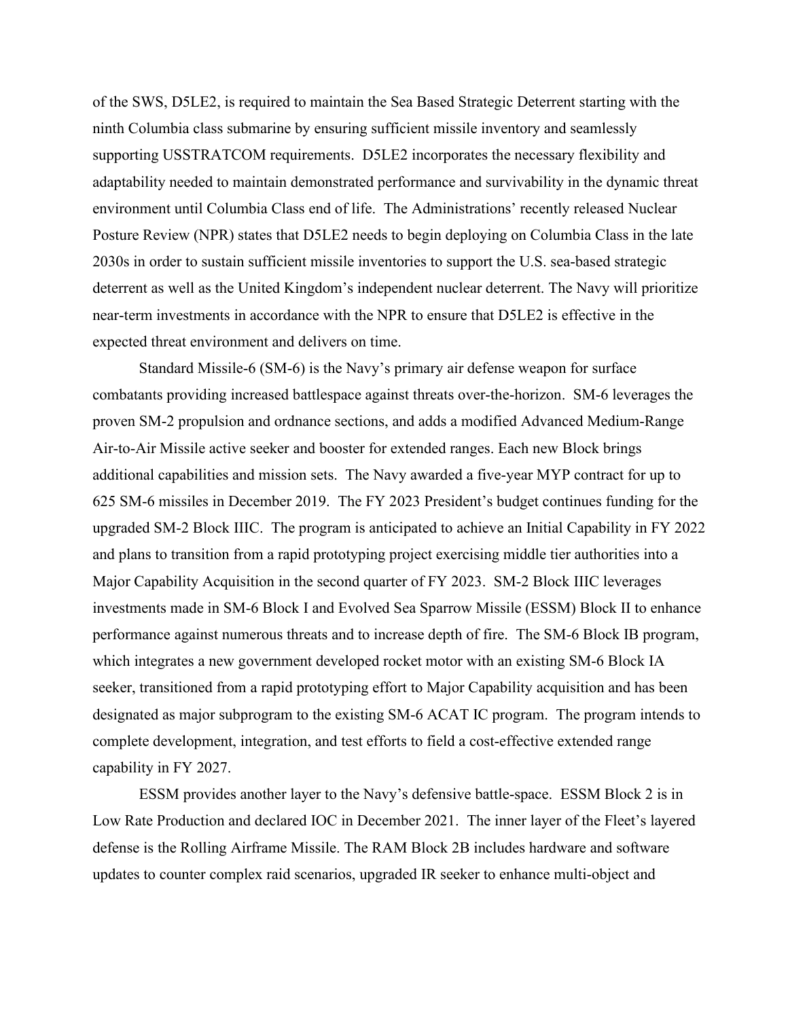of the SWS, D5LE2, is required to maintain the Sea Based Strategic Deterrent starting with the ninth Columbia class submarine by ensuring sufficient missile inventory and seamlessly supporting USSTRATCOM requirements. D5LE2 incorporates the necessary flexibility and adaptability needed to maintain demonstrated performance and survivability in the dynamic threat environment until Columbia Class end of life. The Administrations' recently released Nuclear Posture Review (NPR) states that D5LE2 needs to begin deploying on Columbia Class in the late 2030s in order to sustain sufficient missile inventories to support the U.S. sea-based strategic deterrent as well as the United Kingdom's independent nuclear deterrent. The Navy will prioritize near-term investments in accordance with the NPR to ensure that D5LE2 is effective in the expected threat environment and delivers on time.

Standard Missile-6 (SM-6) is the Navy's primary air defense weapon for surface combatants providing increased battlespace against threats over-the-horizon. SM-6 leverages the proven SM-2 propulsion and ordnance sections, and adds a modified Advanced Medium-Range Air-to-Air Missile active seeker and booster for extended ranges. Each new Block brings additional capabilities and mission sets. The Navy awarded a five-year MYP contract for up to 625 SM-6 missiles in December 2019. The FY 2023 President's budget continues funding for the upgraded SM-2 Block IIIC. The program is anticipated to achieve an Initial Capability in FY 2022 and plans to transition from a rapid prototyping project exercising middle tier authorities into a Major Capability Acquisition in the second quarter of FY 2023. SM-2 Block IIIC leverages investments made in SM-6 Block I and Evolved Sea Sparrow Missile (ESSM) Block II to enhance performance against numerous threats and to increase depth of fire. The SM-6 Block IB program, which integrates a new government developed rocket motor with an existing SM-6 Block IA seeker, transitioned from a rapid prototyping effort to Major Capability acquisition and has been designated as major subprogram to the existing SM-6 ACAT IC program. The program intends to complete development, integration, and test efforts to field a cost-effective extended range capability in FY 2027.

ESSM provides another layer to the Navy's defensive battle-space. ESSM Block 2 is in Low Rate Production and declared IOC in December 2021. The inner layer of the Fleet's layered defense is the Rolling Airframe Missile. The RAM Block 2B includes hardware and software updates to counter complex raid scenarios, upgraded IR seeker to enhance multi-object and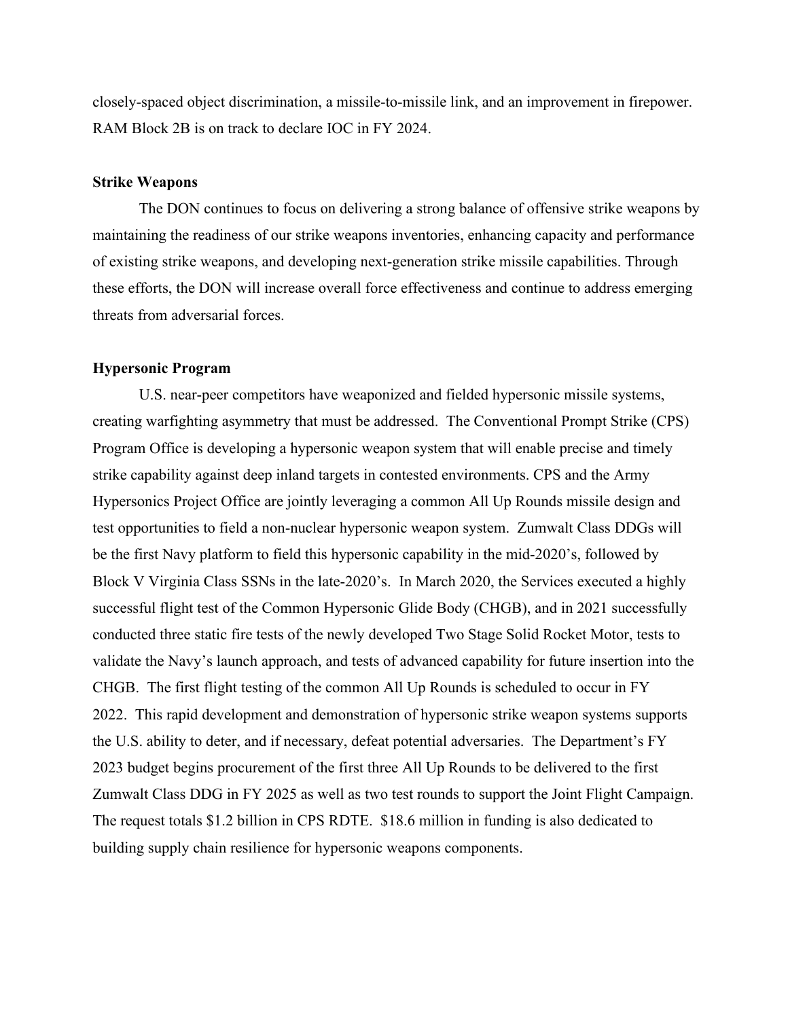closely-spaced object discrimination, a missile-to-missile link, and an improvement in firepower. RAM Block 2B is on track to declare IOC in FY 2024.

#### **Strike Weapons**

The DON continues to focus on delivering a strong balance of offensive strike weapons by maintaining the readiness of our strike weapons inventories, enhancing capacity and performance of existing strike weapons, and developing next-generation strike missile capabilities. Through these efforts, the DON will increase overall force effectiveness and continue to address emerging threats from adversarial forces.

## **Hypersonic Program**

U.S. near-peer competitors have weaponized and fielded hypersonic missile systems, creating warfighting asymmetry that must be addressed. The Conventional Prompt Strike (CPS) Program Office is developing a hypersonic weapon system that will enable precise and timely strike capability against deep inland targets in contested environments. CPS and the Army Hypersonics Project Office are jointly leveraging a common All Up Rounds missile design and test opportunities to field a non-nuclear hypersonic weapon system. Zumwalt Class DDGs will be the first Navy platform to field this hypersonic capability in the mid-2020's, followed by Block V Virginia Class SSNs in the late-2020's. In March 2020, the Services executed a highly successful flight test of the Common Hypersonic Glide Body (CHGB), and in 2021 successfully conducted three static fire tests of the newly developed Two Stage Solid Rocket Motor, tests to validate the Navy's launch approach, and tests of advanced capability for future insertion into the CHGB. The first flight testing of the common All Up Rounds is scheduled to occur in FY 2022. This rapid development and demonstration of hypersonic strike weapon systems supports the U.S. ability to deter, and if necessary, defeat potential adversaries. The Department's FY 2023 budget begins procurement of the first three All Up Rounds to be delivered to the first Zumwalt Class DDG in FY 2025 as well as two test rounds to support the Joint Flight Campaign. The request totals \$1.2 billion in CPS RDTE. \$18.6 million in funding is also dedicated to building supply chain resilience for hypersonic weapons components.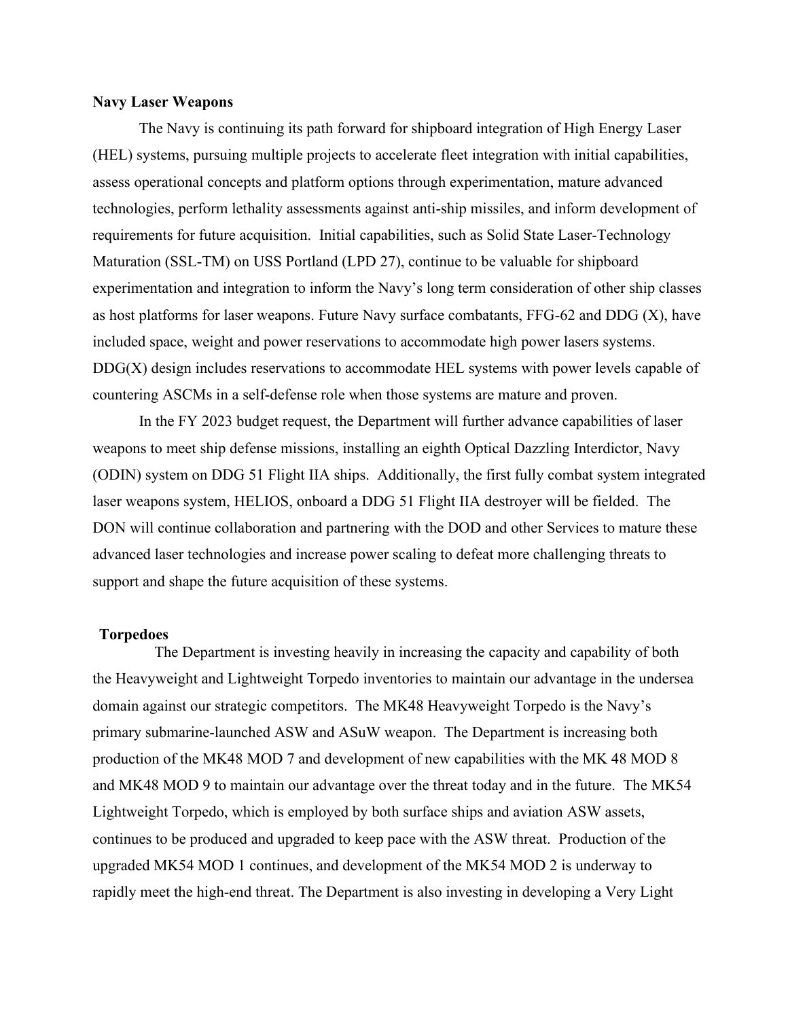## **Navy Laser Weapons**

The Navy is continuing its path forward for shipboard integration of High Energy Laser (HEL) systems, pursuing multiple projects to accelerate fleet integration with initial capabilities, assess operational concepts and platform options through experimentation, mature advanced technologies, perform lethality assessments against anti-ship missiles, and inform development of requirements for future acquisition. Initial capabilities, such as Solid State Laser-Technology Maturation (SSL-TM) on USS Portland (LPD 27), continue to be valuable for shipboard experimentation and integration to inform the Navy's long term consideration of other ship classes as host platforms for laser weapons. Future Navy surface combatants, FFG-62 and DDG (X), have included space, weight and power reservations to accommodate high power lasers systems. DDG(X) design includes reservations to accommodate HEL systems with power levels capable of countering ASCMs in a self-defense role when those systems are mature and proven.

In the FY 2023 budget request, the Department will further advance capabilities of laser weapons to meet ship defense missions, installing an eighth Optical Dazzling Interdictor, Navy (ODIN) system on DDG 51 Flight IIA ships. Additionally, the first fully combat system integrated laser weapons system, HELIOS, onboard a DDG 51 Flight IIA destroyer will be fielded. The DON will continue collaboration and partnering with the DOD and other Services to mature these advanced laser technologies and increase power scaling to defeat more challenging threats to support and shape the future acquisition of these systems.

#### **Torpedoes**

 The Department is investing heavily in increasing the capacity and capability of both the Heavyweight and Lightweight Torpedo inventories to maintain our advantage in the undersea domain against our strategic competitors. The MK48 Heavyweight Torpedo is the Navy's primary submarine-launched ASW and ASuW weapon. The Department is increasing both production of the MK48 MOD 7 and development of new capabilities with the MK 48 MOD 8 and MK48 MOD 9 to maintain our advantage over the threat today and in the future. The MK54 Lightweight Torpedo, which is employed by both surface ships and aviation ASW assets, continues to be produced and upgraded to keep pace with the ASW threat. Production of the upgraded MK54 MOD 1 continues, and development of the MK54 MOD 2 is underway to rapidly meet the high-end threat. The Department is also investing in developing a Very Light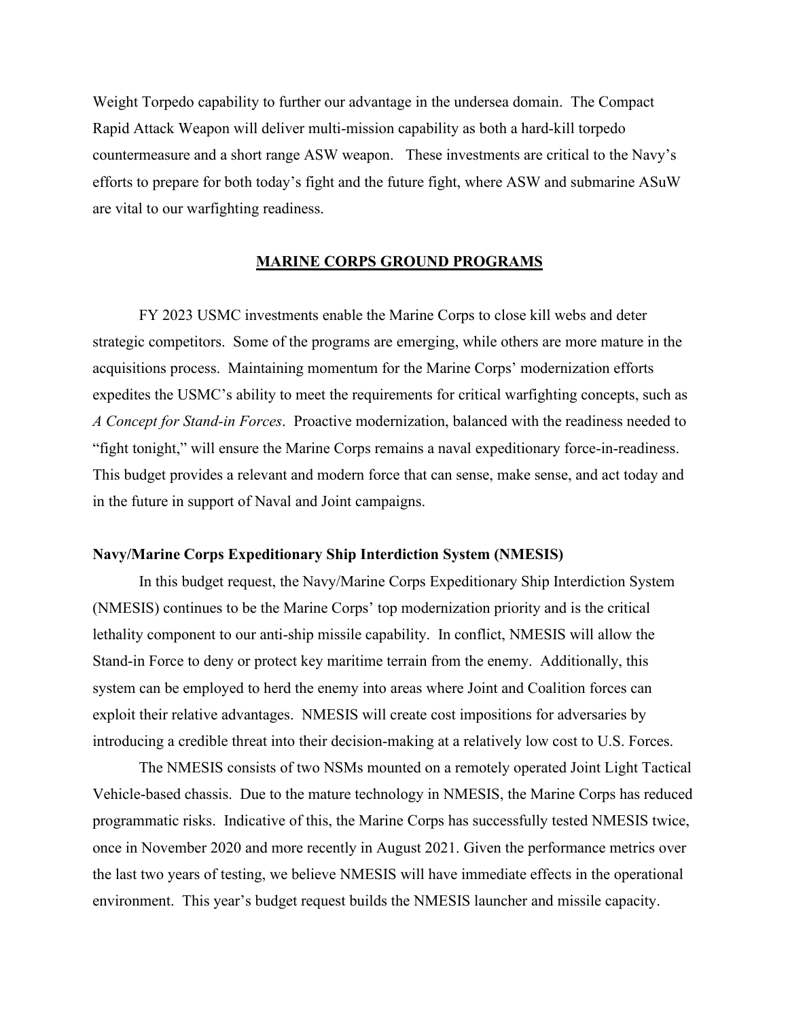Weight Torpedo capability to further our advantage in the undersea domain. The Compact Rapid Attack Weapon will deliver multi-mission capability as both a hard-kill torpedo countermeasure and a short range ASW weapon. These investments are critical to the Navy's efforts to prepare for both today's fight and the future fight, where ASW and submarine ASuW are vital to our warfighting readiness.

### **MARINE CORPS GROUND PROGRAMS**

FY 2023 USMC investments enable the Marine Corps to close kill webs and deter strategic competitors. Some of the programs are emerging, while others are more mature in the acquisitions process. Maintaining momentum for the Marine Corps' modernization efforts expedites the USMC's ability to meet the requirements for critical warfighting concepts, such as *A Concept for Stand-in Forces*. Proactive modernization, balanced with the readiness needed to "fight tonight," will ensure the Marine Corps remains a naval expeditionary force-in-readiness. This budget provides a relevant and modern force that can sense, make sense, and act today and in the future in support of Naval and Joint campaigns.

#### **Navy/Marine Corps Expeditionary Ship Interdiction System (NMESIS)**

In this budget request, the Navy/Marine Corps Expeditionary Ship Interdiction System (NMESIS) continues to be the Marine Corps' top modernization priority and is the critical lethality component to our anti-ship missile capability. In conflict, NMESIS will allow the Stand-in Force to deny or protect key maritime terrain from the enemy. Additionally, this system can be employed to herd the enemy into areas where Joint and Coalition forces can exploit their relative advantages. NMESIS will create cost impositions for adversaries by introducing a credible threat into their decision-making at a relatively low cost to U.S. Forces.

The NMESIS consists of two NSMs mounted on a remotely operated Joint Light Tactical Vehicle-based chassis. Due to the mature technology in NMESIS, the Marine Corps has reduced programmatic risks. Indicative of this, the Marine Corps has successfully tested NMESIS twice, once in November 2020 and more recently in August 2021. Given the performance metrics over the last two years of testing, we believe NMESIS will have immediate effects in the operational environment. This year's budget request builds the NMESIS launcher and missile capacity.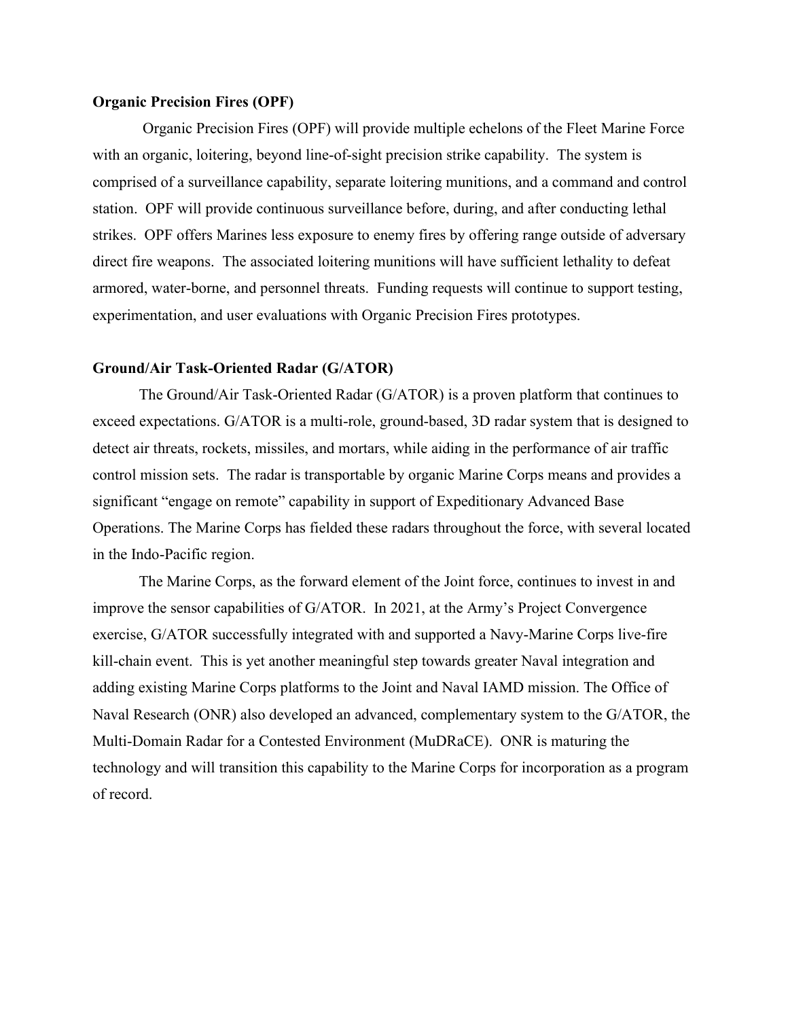## **Organic Precision Fires (OPF)**

Organic Precision Fires (OPF) will provide multiple echelons of the Fleet Marine Force with an organic, loitering, beyond line-of-sight precision strike capability. The system is comprised of a surveillance capability, separate loitering munitions, and a command and control station. OPF will provide continuous surveillance before, during, and after conducting lethal strikes. OPF offers Marines less exposure to enemy fires by offering range outside of adversary direct fire weapons. The associated loitering munitions will have sufficient lethality to defeat armored, water-borne, and personnel threats. Funding requests will continue to support testing, experimentation, and user evaluations with Organic Precision Fires prototypes.

#### **Ground/Air Task-Oriented Radar (G/ATOR)**

The Ground/Air Task-Oriented Radar (G/ATOR) is a proven platform that continues to exceed expectations. G/ATOR is a multi-role, ground-based, 3D radar system that is designed to detect air threats, rockets, missiles, and mortars, while aiding in the performance of air traffic control mission sets. The radar is transportable by organic Marine Corps means and provides a significant "engage on remote" capability in support of Expeditionary Advanced Base Operations. The Marine Corps has fielded these radars throughout the force, with several located in the Indo-Pacific region.

The Marine Corps, as the forward element of the Joint force, continues to invest in and improve the sensor capabilities of G/ATOR. In 2021, at the Army's Project Convergence exercise, G/ATOR successfully integrated with and supported a Navy-Marine Corps live-fire kill-chain event. This is yet another meaningful step towards greater Naval integration and adding existing Marine Corps platforms to the Joint and Naval IAMD mission. The Office of Naval Research (ONR) also developed an advanced, complementary system to the G/ATOR, the Multi-Domain Radar for a Contested Environment (MuDRaCE). ONR is maturing the technology and will transition this capability to the Marine Corps for incorporation as a program of record.